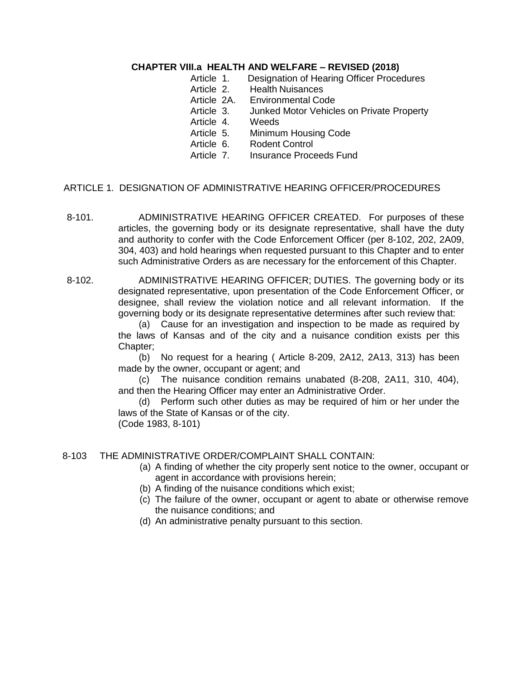# **CHAPTER VIII.a HEALTH AND WELFARE – REVISED (2018)**

- Article 1. Designation of Hearing Officer Procedures
- Article 2. Health Nuisances
- Article 2A. Environmental Code
- Article 3. Junked Motor Vehicles on Private Property
- Article 4. Weeds
- Article 5. Minimum Housing Code
- Article 6. Rodent Control
- Article 7. Insurance Proceeds Fund

## ARTICLE 1. DESIGNATION OF ADMINISTRATIVE HEARING OFFICER/PROCEDURES

- 8-101. ADMINISTRATIVE HEARING OFFICER CREATED. For purposes of these articles, the governing body or its designate representative, shall have the duty and authority to confer with the Code Enforcement Officer (per 8-102, 202, 2A09, 304, 403) and hold hearings when requested pursuant to this Chapter and to enter such Administrative Orders as are necessary for the enforcement of this Chapter.
- 8-102. ADMINISTRATIVE HEARING OFFICER; DUTIES. The governing body or its designated representative, upon presentation of the Code Enforcement Officer, or designee, shall review the violation notice and all relevant information. If the governing body or its designate representative determines after such review that:

(a) Cause for an investigation and inspection to be made as required by the laws of Kansas and of the city and a nuisance condition exists per this Chapter;

(b) No request for a hearing ( Article 8-209, 2A12, 2A13, 313) has been made by the owner, occupant or agent; and

(c) The nuisance condition remains unabated (8-208, 2A11, 310, 404), and then the Hearing Officer may enter an Administrative Order.

(d) Perform such other duties as may be required of him or her under the laws of the State of Kansas or of the city. (Code 1983, 8-101)

### 8-103 THE ADMINISTRATIVE ORDER/COMPLAINT SHALL CONTAIN:

- (a) A finding of whether the city properly sent notice to the owner, occupant or agent in accordance with provisions herein;
- (b) A finding of the nuisance conditions which exist;
- (c) The failure of the owner, occupant or agent to abate or otherwise remove the nuisance conditions; and
- (d) An administrative penalty pursuant to this section.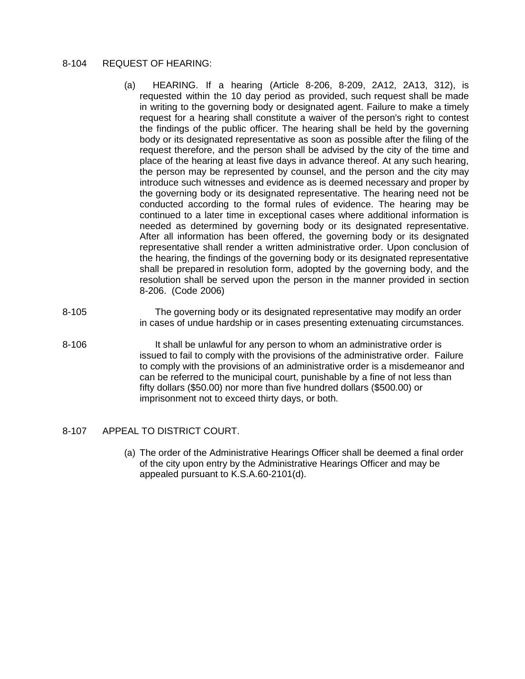### 8-104 REQUEST OF HEARING:

- (a) HEARING. If a hearing (Article 8-206, 8-209, 2A12, 2A13, 312), is requested within the 10 day period as provided, such request shall be made in writing to the governing body or designated agent. Failure to make a timely request for a hearing shall constitute a waiver of the person's right to contest the findings of the public officer. The hearing shall be held by the governing body or its designated representative as soon as possible after the filing of the request therefore, and the person shall be advised by the city of the time and place of the hearing at least five days in advance thereof. At any such hearing, the person may be represented by counsel, and the person and the city may introduce such witnesses and evidence as is deemed necessary and proper by the governing body or its designated representative. The hearing need not be conducted according to the formal rules of evidence. The hearing may be continued to a later time in exceptional cases where additional information is needed as determined by governing body or its designated representative. After all information has been offered, the governing body or its designated representative shall render a written administrative order. Upon conclusion of the hearing, the findings of the governing body or its designated representative shall be prepared in resolution form, adopted by the governing body, and the resolution shall be served upon the person in the manner provided in section 8-206. (Code 2006)
- 8-105 The governing body or its designated representative may modify an order in cases of undue hardship or in cases presenting extenuating circumstances.
- 8-106 It shall be unlawful for any person to whom an administrative order is issued to fail to comply with the provisions of the administrative order. Failure to comply with the provisions of an administrative order is a misdemeanor and can be referred to the municipal court, punishable by a fine of not less than fifty dollars (\$50.00) nor more than five hundred dollars (\$500.00) or imprisonment not to exceed thirty days, or both.

### 8-107 APPEAL TO DISTRICT COURT.

(a) The order of the Administrative Hearings Officer shall be deemed a final order of the city upon entry by the Administrative Hearings Officer and may be appealed pursuant to K.S.A.60-2101(d).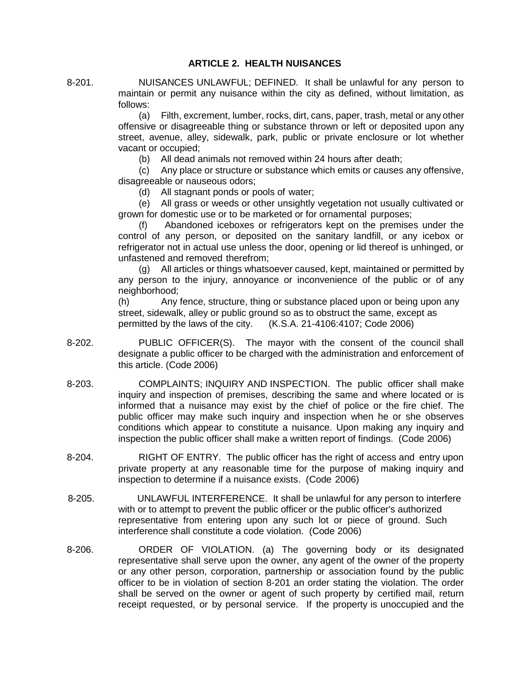8-201. NUISANCES UNLAWFUL; DEFINED. It shall be unlawful for any person to maintain or permit any nuisance within the city as defined, without limitation, as follows:

> (a) Filth, excrement, lumber, rocks, dirt, cans, paper, trash, metal or any other offensive or disagreeable thing or substance thrown or left or deposited upon any street, avenue, alley, sidewalk, park, public or private enclosure or lot whether vacant or occupied;

(b) All dead animals not removed within 24 hours after death;

(c) Any place or structure or substance which emits or causes any offensive, disagreeable or nauseous odors;

(d) All stagnant ponds or pools of water;

(e) All grass or weeds or other unsightly vegetation not usually cultivated or grown for domestic use or to be marketed or for ornamental purposes;

(f) Abandoned iceboxes or refrigerators kept on the premises under the control of any person, or deposited on the sanitary landfill, or any icebox or refrigerator not in actual use unless the door, opening or lid thereof is unhinged, or unfastened and removed therefrom;

(g) All articles or things whatsoever caused, kept, maintained or permitted by any person to the injury, annoyance or inconvenience of the public or of any neighborhood;

(h) Any fence, structure, thing or substance placed upon or being upon any street, sidewalk, alley or public ground so as to obstruct the same, except as permitted by the laws of the city. (K.S.A. 21-4106:4107; Code 2006)

- 8-202. PUBLIC OFFICER(S). The mayor with the consent of the council shall designate a public officer to be charged with the administration and enforcement of this article. (Code 2006)
- 8-203. COMPLAINTS; INQUIRY AND INSPECTION. The public officer shall make inquiry and inspection of premises, describing the same and where located or is informed that a nuisance may exist by the chief of police or the fire chief. The public officer may make such inquiry and inspection when he or she observes conditions which appear to constitute a nuisance. Upon making any inquiry and inspection the public officer shall make a written report of findings. (Code 2006)
- 8-204. RIGHT OF ENTRY. The public officer has the right of access and entry upon private property at any reasonable time for the purpose of making inquiry and inspection to determine if a nuisance exists. (Code 2006)
- 8-205. UNLAWFUL INTERFERENCE. It shall be unlawful for any person to interfere with or to attempt to prevent the public officer or the public officer's authorized representative from entering upon any such lot or piece of ground. Such interference shall constitute a code violation. (Code 2006)
- 8-206. ORDER OF VIOLATION. (a) The governing body or its designated representative shall serve upon the owner, any agent of the owner of the property or any other person, corporation, partnership or association found by the public officer to be in violation of section 8-201 an order stating the violation. The order shall be served on the owner or agent of such property by certified mail, return receipt requested, or by personal service. If the property is unoccupied and the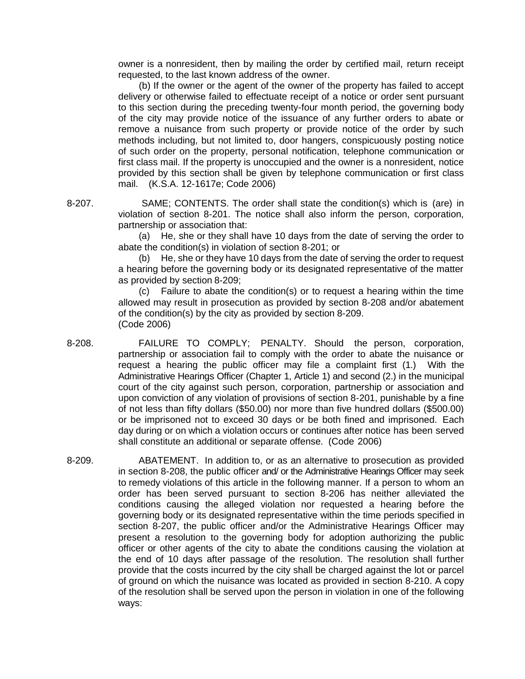owner is a nonresident, then by mailing the order by certified mail, return receipt requested, to the last known address of the owner.

(b) If the owner or the agent of the owner of the property has failed to accept delivery or otherwise failed to effectuate receipt of a notice or order sent pursuant to this section during the preceding twenty-four month period, the governing body of the city may provide notice of the issuance of any further orders to abate or remove a nuisance from such property or provide notice of the order by such methods including, but not limited to, door hangers, conspicuously posting notice of such order on the property, personal notification, telephone communication or first class mail. If the property is unoccupied and the owner is a nonresident, notice provided by this section shall be given by telephone communication or first class mail. (K.S.A. 12-1617e; Code 2006)

8-207. SAME; CONTENTS. The order shall state the condition(s) which is (are) in violation of section 8-201. The notice shall also inform the person, corporation, partnership or association that:

> (a) He, she or they shall have 10 days from the date of serving the order to abate the condition(s) in violation of section 8-201; or

> (b) He, she or they have 10 days from the date of serving the order to request a hearing before the governing body or its designated representative of the matter as provided by section 8-209;

> (c) Failure to abate the condition(s) or to request a hearing within the time allowed may result in prosecution as provided by section 8-208 and/or abatement of the condition(s) by the city as provided by section 8-209. (Code 2006)

- 8-208. FAILURE TO COMPLY; PENALTY. Should the person, corporation, partnership or association fail to comply with the order to abate the nuisance or request a hearing the public officer may file a complaint first (1.) With the Administrative Hearings Officer (Chapter 1, Article 1) and second (2.) in the municipal court of the city against such person, corporation, partnership or association and upon conviction of any violation of provisions of section 8-201, punishable by a fine of not less than fifty dollars (\$50.00) nor more than five hundred dollars (\$500.00) or be imprisoned not to exceed 30 days or be both fined and imprisoned. Each day during or on which a violation occurs or continues after notice has been served shall constitute an additional or separate offense. (Code 2006)
- 8-209. ABATEMENT. In addition to, or as an alternative to prosecution as provided in section 8-208, the public officer and/ or the Administrative Hearings Officer may seek to remedy violations of this article in the following manner. If a person to whom an order has been served pursuant to section 8-206 has neither alleviated the conditions causing the alleged violation nor requested a hearing before the governing body or its designated representative within the time periods specified in section 8-207, the public officer and/or the Administrative Hearings Officer may present a resolution to the governing body for adoption authorizing the public officer or other agents of the city to abate the conditions causing the violation at the end of 10 days after passage of the resolution. The resolution shall further provide that the costs incurred by the city shall be charged against the lot or parcel of ground on which the nuisance was located as provided in section 8-210. A copy of the resolution shall be served upon the person in violation in one of the following ways: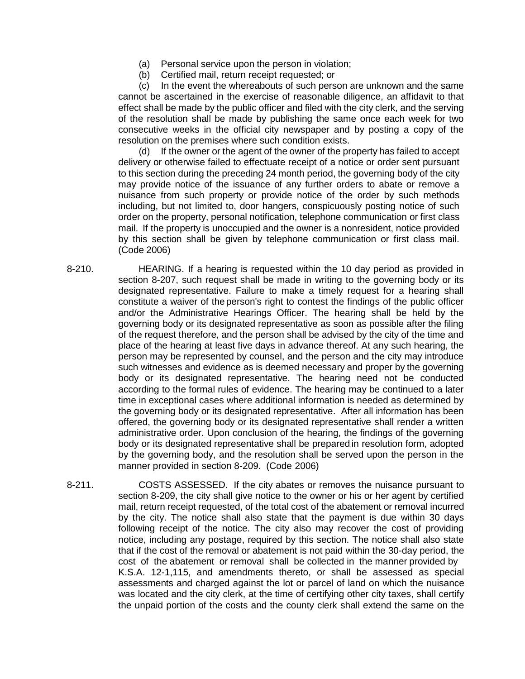- (a) Personal service upon the person in violation;
- (b) Certified mail, return receipt requested; or

(c) In the event the whereabouts of such person are unknown and the same cannot be ascertained in the exercise of reasonable diligence, an affidavit to that effect shall be made by the public officer and filed with the city clerk, and the serving of the resolution shall be made by publishing the same once each week for two consecutive weeks in the official city newspaper and by posting a copy of the resolution on the premises where such condition exists.

(d) If the owner or the agent of the owner of the property has failed to accept delivery or otherwise failed to effectuate receipt of a notice or order sent pursuant to this section during the preceding 24 month period, the governing body of the city may provide notice of the issuance of any further orders to abate or remove a nuisance from such property or provide notice of the order by such methods including, but not limited to, door hangers, conspicuously posting notice of such order on the property, personal notification, telephone communication or first class mail. If the property is unoccupied and the owner is a nonresident, notice provided by this section shall be given by telephone communication or first class mail. (Code 2006)

- 8-210. HEARING. If a hearing is requested within the 10 day period as provided in section 8-207, such request shall be made in writing to the governing body or its designated representative. Failure to make a timely request for a hearing shall constitute a waiver of the person's right to contest the findings of the public officer and/or the Administrative Hearings Officer. The hearing shall be held by the governing body or its designated representative as soon as possible after the filing of the request therefore, and the person shall be advised by the city of the time and place of the hearing at least five days in advance thereof. At any such hearing, the person may be represented by counsel, and the person and the city may introduce such witnesses and evidence as is deemed necessary and proper by the governing body or its designated representative. The hearing need not be conducted according to the formal rules of evidence. The hearing may be continued to a later time in exceptional cases where additional information is needed as determined by the governing body or its designated representative. After all information has been offered, the governing body or its designated representative shall render a written administrative order. Upon conclusion of the hearing, the findings of the governing body or its designated representative shall be prepared in resolution form, adopted by the governing body, and the resolution shall be served upon the person in the manner provided in section 8-209. (Code 2006)
- 8-211. COSTS ASSESSED. If the city abates or removes the nuisance pursuant to section 8-209, the city shall give notice to the owner or his or her agent by certified mail, return receipt requested, of the total cost of the abatement or removal incurred by the city. The notice shall also state that the payment is due within 30 days following receipt of the notice. The city also may recover the cost of providing notice, including any postage, required by this section. The notice shall also state that if the cost of the removal or abatement is not paid within the 30-day period, the cost of the abatement or removal shall be collected in the manner provided by K.S.A. 12-1,115, and amendments thereto, or shall be assessed as special assessments and charged against the lot or parcel of land on which the nuisance was located and the city clerk, at the time of certifying other city taxes, shall certify the unpaid portion of the costs and the county clerk shall extend the same on the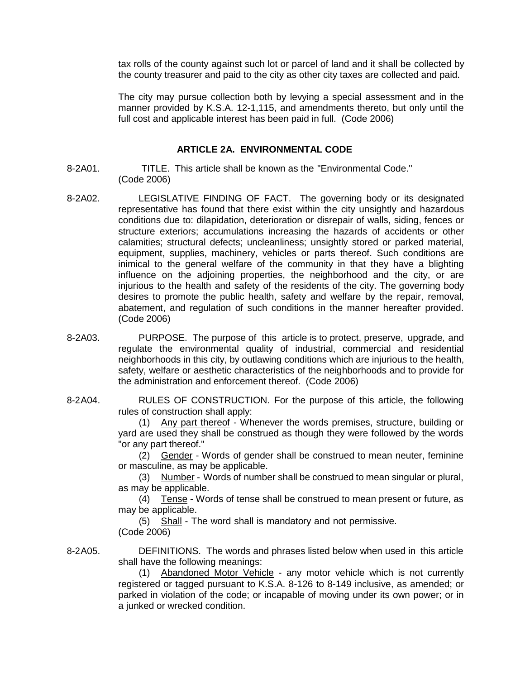tax rolls of the county against such lot or parcel of land and it shall be collected by the county treasurer and paid to the city as other city taxes are collected and paid.

The city may pursue collection both by levying a special assessment and in the manner provided by K.S.A. 12-1,115, and amendments thereto, but only until the full cost and applicable interest has been paid in full. (Code 2006)

### **ARTICLE 2A. ENVIRONMENTAL CODE**

- 8-2A01. TITLE. This article shall be known as the "Environmental Code." (Code 2006)
- 8-2A02. LEGISLATIVE FINDING OF FACT. The governing body or its designated representative has found that there exist within the city unsightly and hazardous conditions due to: dilapidation, deterioration or disrepair of walls, siding, fences or structure exteriors; accumulations increasing the hazards of accidents or other calamities; structural defects; uncleanliness; unsightly stored or parked material, equipment, supplies, machinery, vehicles or parts thereof. Such conditions are inimical to the general welfare of the community in that they have a blighting influence on the adjoining properties, the neighborhood and the city, or are injurious to the health and safety of the residents of the city. The governing body desires to promote the public health, safety and welfare by the repair, removal, abatement, and regulation of such conditions in the manner hereafter provided. (Code 2006)
- 8-2A03. PURPOSE. The purpose of this article is to protect, preserve, upgrade, and regulate the environmental quality of industrial, commercial and residential neighborhoods in this city, by outlawing conditions which are injurious to the health, safety, welfare or aesthetic characteristics of the neighborhoods and to provide for the administration and enforcement thereof. (Code 2006)
- 8-2A04. RULES OF CONSTRUCTION. For the purpose of this article, the following rules of construction shall apply:

(1) Any part thereof - Whenever the words premises, structure, building or yard are used they shall be construed as though they were followed by the words "or any part thereof."

(2) Gender - Words of gender shall be construed to mean neuter, feminine or masculine, as may be applicable.

(3) Number - Words of number shall be construed to mean singular or plural, as may be applicable.

(4) Tense - Words of tense shall be construed to mean present or future, as may be applicable.

(5) Shall - The word shall is mandatory and not permissive. (Code 2006)

8-2A05. DEFINITIONS. The words and phrases listed below when used in this article shall have the following meanings:

(1) Abandoned Motor Vehicle - any motor vehicle which is not currently registered or tagged pursuant to K.S.A. 8-126 to 8-149 inclusive, as amended; or parked in violation of the code; or incapable of moving under its own power; or in a junked or wrecked condition.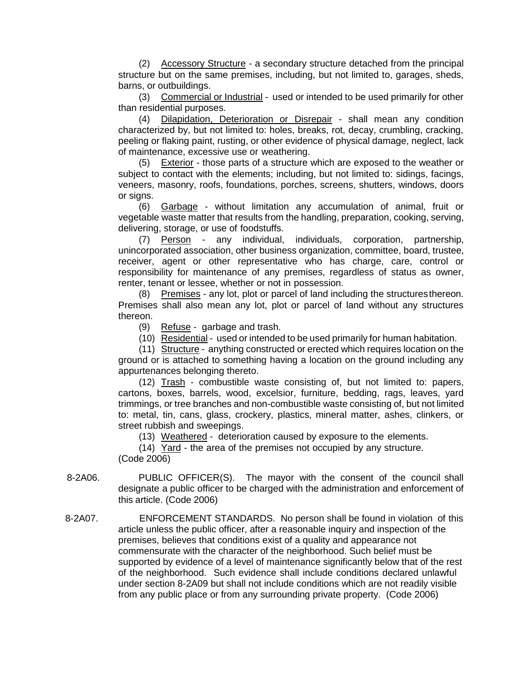(2) Accessory Structure - a secondary structure detached from the principal structure but on the same premises, including, but not limited to, garages, sheds, barns, or outbuildings.

(3) Commercial or Industrial - used or intended to be used primarily for other than residential purposes.

(4) Dilapidation, Deterioration or Disrepair - shall mean any condition characterized by, but not limited to: holes, breaks, rot, decay, crumbling, cracking, peeling or flaking paint, rusting, or other evidence of physical damage, neglect, lack of maintenance, excessive use or weathering.

(5) Exterior - those parts of a structure which are exposed to the weather or subject to contact with the elements; including, but not limited to: sidings, facings, veneers, masonry, roofs, foundations, porches, screens, shutters, windows, doors or signs.

(6) Garbage - without limitation any accumulation of animal, fruit or vegetable waste matter that results from the handling, preparation, cooking, serving, delivering, storage, or use of foodstuffs.

(7) Person - any individual, individuals, corporation, partnership, unincorporated association, other business organization, committee, board, trustee, receiver, agent or other representative who has charge, care, control or responsibility for maintenance of any premises, regardless of status as owner, renter, tenant or lessee, whether or not in possession.

(8) Premises - any lot, plot or parcel of land including the structuresthereon. Premises shall also mean any lot, plot or parcel of land without any structures thereon.

(9) Refuse - garbage and trash.

(10) Residential - used or intended to be used primarily for human habitation.

(11) Structure - anything constructed or erected which requires location on the ground or is attached to something having a location on the ground including any appurtenances belonging thereto.

(12) Trash - combustible waste consisting of, but not limited to: papers, cartons, boxes, barrels, wood, excelsior, furniture, bedding, rags, leaves, yard trimmings, or tree branches and non-combustible waste consisting of, but not limited to: metal, tin, cans, glass, crockery, plastics, mineral matter, ashes, clinkers, or street rubbish and sweepings.

(13) Weathered - deterioration caused by exposure to the elements.

(14) Yard - the area of the premises not occupied by any structure.

(Code 2006)

- 8-2A06. PUBLIC OFFICER(S). The mayor with the consent of the council shall designate a public officer to be charged with the administration and enforcement of this article. (Code 2006)
- 8-2A07. ENFORCEMENT STANDARDS. No person shall be found in violation of this article unless the public officer, after a reasonable inquiry and inspection of the premises, believes that conditions exist of a quality and appearance not commensurate with the character of the neighborhood. Such belief must be supported by evidence of a level of maintenance significantly below that of the rest of the neighborhood. Such evidence shall include conditions declared unlawful under section 8-2A09 but shall not include conditions which are not readily visible from any public place or from any surrounding private property. (Code 2006)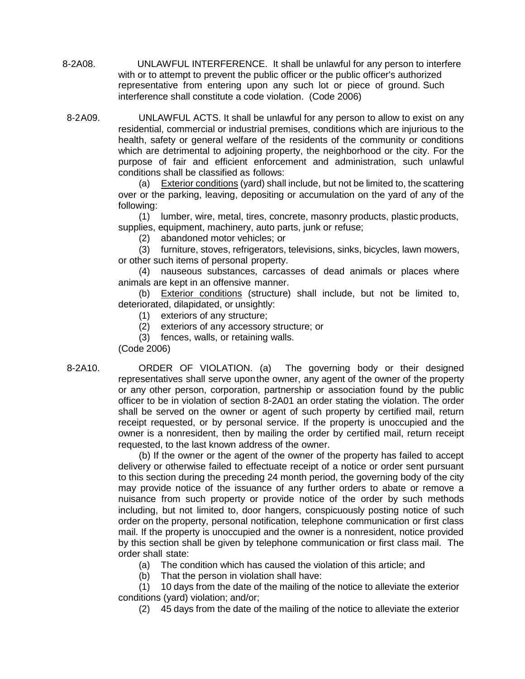- 8-2A08. UNLAWFUL INTERFERENCE. It shall be unlawful for any person to interfere with or to attempt to prevent the public officer or the public officer's authorized representative from entering upon any such lot or piece of ground. Such interference shall constitute a code violation. (Code 2006)
- 8-2A09. UNLAWFUL ACTS. It shall be unlawful for any person to allow to exist on any residential, commercial or industrial premises, conditions which are injurious to the health, safety or general welfare of the residents of the community or conditions which are detrimental to adjoining property, the neighborhood or the city. For the purpose of fair and efficient enforcement and administration, such unlawful conditions shall be classified as follows:

(a) Exterior conditions (yard) shall include, but not be limited to, the scattering over or the parking, leaving, depositing or accumulation on the yard of any of the following:

(1) lumber, wire, metal, tires, concrete, masonry products, plastic products, supplies, equipment, machinery, auto parts, junk or refuse;

(2) abandoned motor vehicles; or

(3) furniture, stoves, refrigerators, televisions, sinks, bicycles, lawn mowers, or other such items of personal property.

(4) nauseous substances, carcasses of dead animals or places where animals are kept in an offensive manner.

(b) Exterior conditions (structure) shall include, but not be limited to, deteriorated, dilapidated, or unsightly:

- (1) exteriors of any structure;
- (2) exteriors of any accessory structure; or

(3) fences, walls, or retaining walls.

(Code 2006)

8-2A10. ORDER OF VIOLATION. (a) The governing body or their designed representatives shall serve uponthe owner, any agent of the owner of the property or any other person, corporation, partnership or association found by the public officer to be in violation of section 8-2A01 an order stating the violation. The order shall be served on the owner or agent of such property by certified mail, return receipt requested, or by personal service. If the property is unoccupied and the owner is a nonresident, then by mailing the order by certified mail, return receipt requested, to the last known address of the owner.

(b) If the owner or the agent of the owner of the property has failed to accept delivery or otherwise failed to effectuate receipt of a notice or order sent pursuant to this section during the preceding 24 month period, the governing body of the city may provide notice of the issuance of any further orders to abate or remove a nuisance from such property or provide notice of the order by such methods including, but not limited to, door hangers, conspicuously posting notice of such order on the property, personal notification, telephone communication or first class mail. If the property is unoccupied and the owner is a nonresident, notice provided by this section shall be given by telephone communication or first class mail. The order shall state:

(a) The condition which has caused the violation of this article; and

(b) That the person in violation shall have:

(1) 10 days from the date of the mailing of the notice to alleviate the exterior conditions (yard) violation; and/or;

(2) 45 days from the date of the mailing of the notice to alleviate the exterior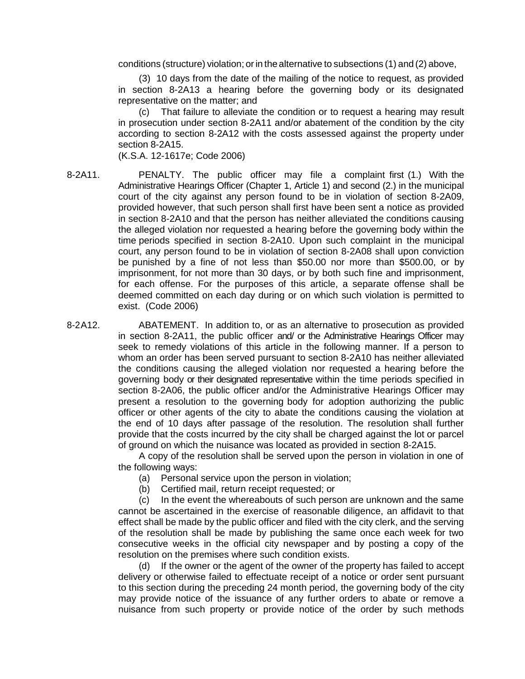conditions (structure) violation; orin thealternative to subsections (1) and (2) above,

(3) 10 days from the date of the mailing of the notice to request, as provided in section 8-2A13 a hearing before the governing body or its designated representative on the matter; and

(c) That failure to alleviate the condition or to request a hearing may result in prosecution under section 8-2A11 and/or abatement of the condition by the city according to section 8-2A12 with the costs assessed against the property under section 8-2A15.

(K.S.A. 12-1617e; Code 2006)

8-2A11. PENALTY. The public officer may file a complaint first (1.) With the Administrative Hearings Officer (Chapter 1, Article 1) and second (2.) in the municipal court of the city against any person found to be in violation of section 8-2A09, provided however, that such person shall first have been sent a notice as provided in section 8-2A10 and that the person has neither alleviated the conditions causing the alleged violation nor requested a hearing before the governing body within the time periods specified in section 8-2A10. Upon such complaint in the municipal court, any person found to be in violation of section 8-2A08 shall upon conviction be punished by a fine of not less than \$50.00 nor more than \$500.00, or by imprisonment, for not more than 30 days, or by both such fine and imprisonment, for each offense. For the purposes of this article, a separate offense shall be deemed committed on each day during or on which such violation is permitted to exist. (Code 2006)

8-2A12. ABATEMENT. In addition to, or as an alternative to prosecution as provided in section 8-2A11, the public officer and/ or the Administrative Hearings Officer may seek to remedy violations of this article in the following manner. If a person to whom an order has been served pursuant to section 8-2A10 has neither alleviated the conditions causing the alleged violation nor requested a hearing before the governing body or their designated representative within the time periods specified in section 8-2A06, the public officer and/or the Administrative Hearings Officer may present a resolution to the governing body for adoption authorizing the public officer or other agents of the city to abate the conditions causing the violation at the end of 10 days after passage of the resolution. The resolution shall further provide that the costs incurred by the city shall be charged against the lot or parcel of ground on which the nuisance was located as provided in section 8-2A15.

> A copy of the resolution shall be served upon the person in violation in one of the following ways:

- (a) Personal service upon the person in violation;
- (b) Certified mail, return receipt requested; or

(c) In the event the whereabouts of such person are unknown and the same cannot be ascertained in the exercise of reasonable diligence, an affidavit to that effect shall be made by the public officer and filed with the city clerk, and the serving of the resolution shall be made by publishing the same once each week for two consecutive weeks in the official city newspaper and by posting a copy of the resolution on the premises where such condition exists.

(d) If the owner or the agent of the owner of the property has failed to accept delivery or otherwise failed to effectuate receipt of a notice or order sent pursuant to this section during the preceding 24 month period, the governing body of the city may provide notice of the issuance of any further orders to abate or remove a nuisance from such property or provide notice of the order by such methods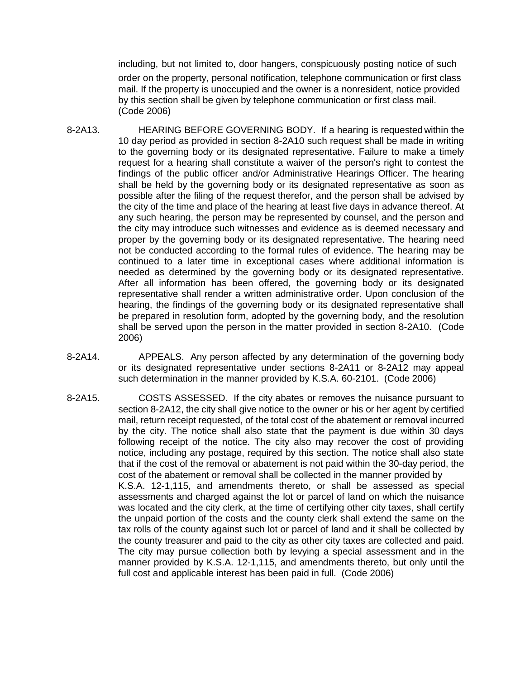including, but not limited to, door hangers, conspicuously posting notice of such

order on the property, personal notification, telephone communication or first class mail. If the property is unoccupied and the owner is a nonresident, notice provided by this section shall be given by telephone communication or first class mail. (Code 2006)

- 8-2A13. HEARING BEFORE GOVERNING BODY. If a hearing is requested within the 10 day period as provided in section 8-2A10 such request shall be made in writing to the governing body or its designated representative. Failure to make a timely request for a hearing shall constitute a waiver of the person's right to contest the findings of the public officer and/or Administrative Hearings Officer. The hearing shall be held by the governing body or its designated representative as soon as possible after the filing of the request therefor, and the person shall be advised by the city of the time and place of the hearing at least five days in advance thereof. At any such hearing, the person may be represented by counsel, and the person and the city may introduce such witnesses and evidence as is deemed necessary and proper by the governing body or its designated representative. The hearing need not be conducted according to the formal rules of evidence. The hearing may be continued to a later time in exceptional cases where additional information is needed as determined by the governing body or its designated representative. After all information has been offered, the governing body or its designated representative shall render a written administrative order. Upon conclusion of the hearing, the findings of the governing body or its designated representative shall be prepared in resolution form, adopted by the governing body, and the resolution shall be served upon the person in the matter provided in section 8-2A10. (Code 2006)
- 8-2A14. APPEALS. Any person affected by any determination of the governing body or its designated representative under sections 8-2A11 or 8-2A12 may appeal such determination in the manner provided by K.S.A. 60-2101. (Code 2006)
- 8-2A15. COSTS ASSESSED. If the city abates or removes the nuisance pursuant to section 8-2A12, the city shall give notice to the owner or his or her agent by certified mail, return receipt requested, of the total cost of the abatement or removal incurred by the city. The notice shall also state that the payment is due within 30 days following receipt of the notice. The city also may recover the cost of providing notice, including any postage, required by this section. The notice shall also state that if the cost of the removal or abatement is not paid within the 30-day period, the cost of the abatement or removal shall be collected in the manner provided by K.S.A. 12-1,115, and amendments thereto, or shall be assessed as special assessments and charged against the lot or parcel of land on which the nuisance was located and the city clerk, at the time of certifying other city taxes, shall certify the unpaid portion of the costs and the county clerk shall extend the same on the tax rolls of the county against such lot or parcel of land and it shall be collected by the county treasurer and paid to the city as other city taxes are collected and paid. The city may pursue collection both by levying a special assessment and in the manner provided by K.S.A. 12-1,115, and amendments thereto, but only until the full cost and applicable interest has been paid in full. (Code 2006)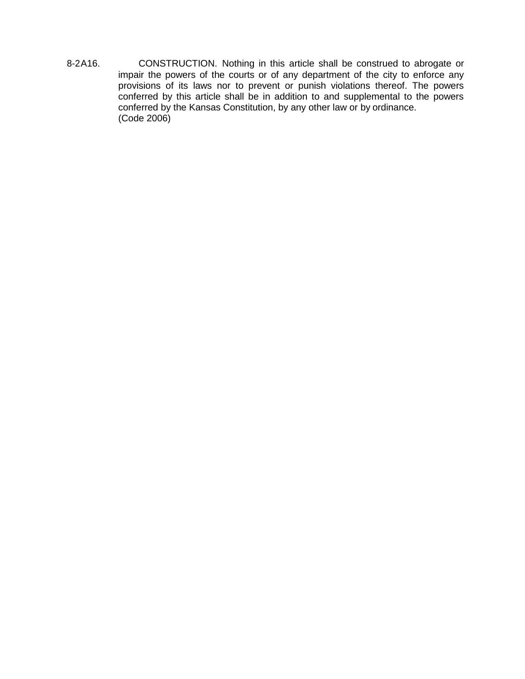8-2A16. CONSTRUCTION. Nothing in this article shall be construed to abrogate or impair the powers of the courts or of any department of the city to enforce any provisions of its laws nor to prevent or punish violations thereof. The powers conferred by this article shall be in addition to and supplemental to the powers conferred by the Kansas Constitution, by any other law or by ordinance. (Code 2006)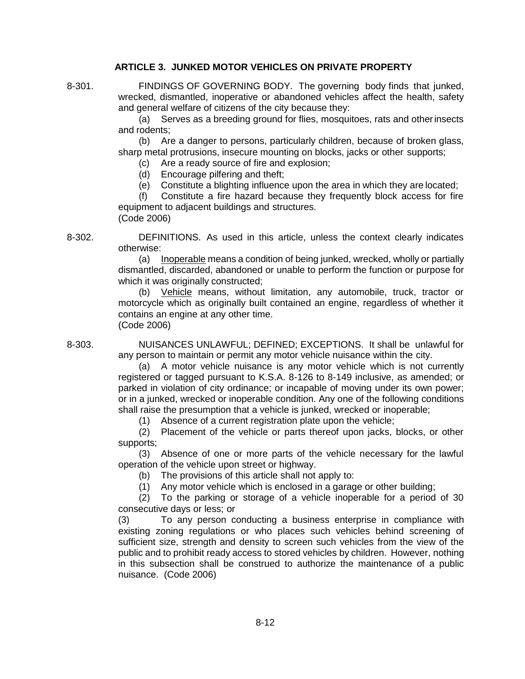# **ARTICLE 3. JUNKED MOTOR VEHICLES ON PRIVATE PROPERTY**

8-301. FINDINGS OF GOVERNING BODY. The governing body finds that junked, wrecked, dismantled, inoperative or abandoned vehicles affect the health, safety and general welfare of citizens of the city because they:

> (a) Serves as a breeding ground for flies, mosquitoes, rats and otherinsects and rodents;

> (b) Are a danger to persons, particularly children, because of broken glass, sharp metal protrusions, insecure mounting on blocks, jacks or other supports;

(c) Are a ready source of fire and explosion;

(d) Encourage pilfering and theft;

(e) Constitute a blighting influence upon the area in which they are located;

(f) Constitute a fire hazard because they frequently block access for fire equipment to adjacent buildings and structures. (Code 2006)

8-302. DEFINITIONS. As used in this article, unless the context clearly indicates otherwise:

> (a) Inoperable means a condition of being junked, wrecked, wholly or partially dismantled, discarded, abandoned or unable to perform the function or purpose for which it was originally constructed;

> (b) Vehicle means, without limitation, any automobile, truck, tractor or motorcycle which as originally built contained an engine, regardless of whether it contains an engine at any other time. (Code 2006)

8-303. NUISANCES UNLAWFUL; DEFINED; EXCEPTIONS. It shall be unlawful for any person to maintain or permit any motor vehicle nuisance within the city.

(a) A motor vehicle nuisance is any motor vehicle which is not currently registered or tagged pursuant to K.S.A. 8-126 to 8-149 inclusive, as amended; or parked in violation of city ordinance; or incapable of moving under its own power; or in a junked, wrecked or inoperable condition. Any one of the following conditions shall raise the presumption that a vehicle is junked, wrecked or inoperable;

(1) Absence of a current registration plate upon the vehicle;

(2) Placement of the vehicle or parts thereof upon jacks, blocks, or other supports;

(3) Absence of one or more parts of the vehicle necessary for the lawful operation of the vehicle upon street or highway.

(b) The provisions of this article shall not apply to:

(1) Any motor vehicle which is enclosed in a garage or other building;

(2) To the parking or storage of a vehicle inoperable for a period of 30 consecutive days or less; or

(3) To any person conducting a business enterprise in compliance with existing zoning regulations or who places such vehicles behind screening of sufficient size, strength and density to screen such vehicles from the view of the public and to prohibit ready access to stored vehicles by children. However, nothing in this subsection shall be construed to authorize the maintenance of a public nuisance. (Code 2006)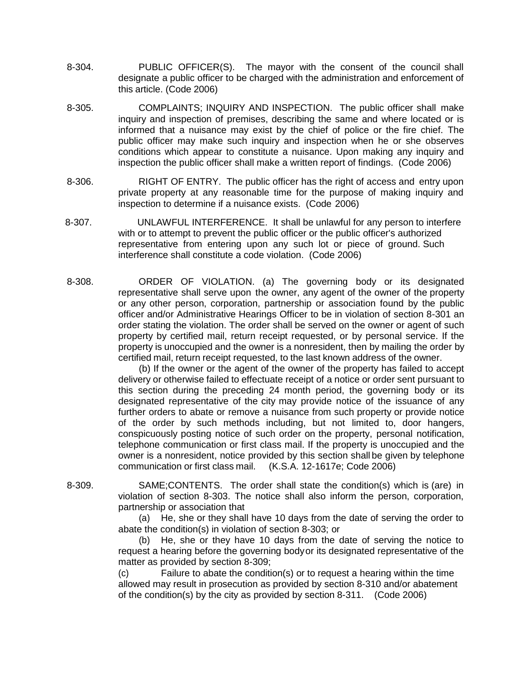- 8-304. PUBLIC OFFICER(S). The mayor with the consent of the council shall designate a public officer to be charged with the administration and enforcement of this article. (Code 2006)
- 8-305. COMPLAINTS; INQUIRY AND INSPECTION. The public officer shall make inquiry and inspection of premises, describing the same and where located or is informed that a nuisance may exist by the chief of police or the fire chief. The public officer may make such inquiry and inspection when he or she observes conditions which appear to constitute a nuisance. Upon making any inquiry and inspection the public officer shall make a written report of findings. (Code 2006)
- 8-306. RIGHT OF ENTRY. The public officer has the right of access and entry upon private property at any reasonable time for the purpose of making inquiry and inspection to determine if a nuisance exists. (Code 2006)
- 8-307. UNLAWFUL INTERFERENCE. It shall be unlawful for any person to interfere with or to attempt to prevent the public officer or the public officer's authorized representative from entering upon any such lot or piece of ground. Such interference shall constitute a code violation. (Code 2006)
- 8-308. ORDER OF VIOLATION. (a) The governing body or its designated representative shall serve upon the owner, any agent of the owner of the property or any other person, corporation, partnership or association found by the public officer and/or Administrative Hearings Officer to be in violation of section 8-301 an order stating the violation. The order shall be served on the owner or agent of such property by certified mail, return receipt requested, or by personal service. If the property is unoccupied and the owner is a nonresident, then by mailing the order by certified mail, return receipt requested, to the last known address of the owner.

(b) If the owner or the agent of the owner of the property has failed to accept delivery or otherwise failed to effectuate receipt of a notice or order sent pursuant to this section during the preceding 24 month period, the governing body or its designated representative of the city may provide notice of the issuance of any further orders to abate or remove a nuisance from such property or provide notice of the order by such methods including, but not limited to, door hangers, conspicuously posting notice of such order on the property, personal notification, telephone communication or first class mail. If the property is unoccupied and the owner is a nonresident, notice provided by this section shall be given by telephone communication or first class mail. (K.S.A. 12-1617e; Code 2006)

8-309. SAME;CONTENTS. The order shall state the condition(s) which is (are) in violation of section 8-303. The notice shall also inform the person, corporation, partnership or association that

> (a) He, she or they shall have 10 days from the date of serving the order to abate the condition(s) in violation of section 8-303; or

> (b) He, she or they have 10 days from the date of serving the notice to request a hearing before the governing bodyor its designated representative of the matter as provided by section 8-309;

(c) Failure to abate the condition(s) or to request a hearing within the time allowed may result in prosecution as provided by section 8-310 and/or abatement of the condition(s) by the city as provided by section 8-311. (Code 2006)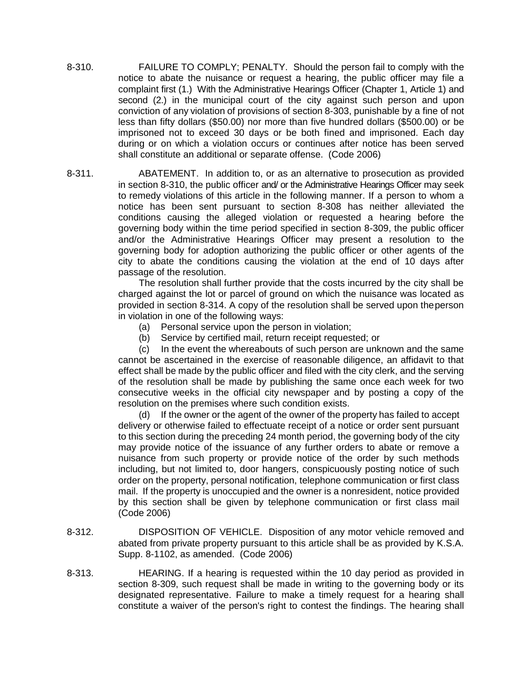- 8-310. FAILURE TO COMPLY; PENALTY. Should the person fail to comply with the notice to abate the nuisance or request a hearing, the public officer may file a complaint first (1.) With the Administrative Hearings Officer (Chapter 1, Article 1) and second (2.) in the municipal court of the city against such person and upon conviction of any violation of provisions of section 8-303, punishable by a fine of not less than fifty dollars (\$50.00) nor more than five hundred dollars (\$500.00) or be imprisoned not to exceed 30 days or be both fined and imprisoned. Each day during or on which a violation occurs or continues after notice has been served shall constitute an additional or separate offense. (Code 2006)
- 8-311. ABATEMENT. In addition to, or as an alternative to prosecution as provided in section 8-310, the public officer and/ or the Administrative Hearings Officer may seek to remedy violations of this article in the following manner. If a person to whom a notice has been sent pursuant to section 8-308 has neither alleviated the conditions causing the alleged violation or requested a hearing before the governing body within the time period specified in section 8-309, the public officer and/or the Administrative Hearings Officer may present a resolution to the governing body for adoption authorizing the public officer or other agents of the city to abate the conditions causing the violation at the end of 10 days after passage of the resolution.

The resolution shall further provide that the costs incurred by the city shall be charged against the lot or parcel of ground on which the nuisance was located as provided in section 8-314. A copy of the resolution shall be served upon theperson in violation in one of the following ways:

- (a) Personal service upon the person in violation;
- (b) Service by certified mail, return receipt requested; or

(c) In the event the whereabouts of such person are unknown and the same cannot be ascertained in the exercise of reasonable diligence, an affidavit to that effect shall be made by the public officer and filed with the city clerk, and the serving of the resolution shall be made by publishing the same once each week for two consecutive weeks in the official city newspaper and by posting a copy of the resolution on the premises where such condition exists.

(d) If the owner or the agent of the owner of the property has failed to accept delivery or otherwise failed to effectuate receipt of a notice or order sent pursuant to this section during the preceding 24 month period, the governing body of the city may provide notice of the issuance of any further orders to abate or remove a nuisance from such property or provide notice of the order by such methods including, but not limited to, door hangers, conspicuously posting notice of such order on the property, personal notification, telephone communication or first class mail. If the property is unoccupied and the owner is a nonresident, notice provided by this section shall be given by telephone communication or first class mail (Code 2006)

- 8-312. DISPOSITION OF VEHICLE. Disposition of any motor vehicle removed and abated from private property pursuant to this article shall be as provided by K.S.A. Supp. 8-1102, as amended. (Code 2006)
- 8-313. HEARING. If a hearing is requested within the 10 day period as provided in section 8-309, such request shall be made in writing to the governing body or its designated representative. Failure to make a timely request for a hearing shall constitute a waiver of the person's right to contest the findings. The hearing shall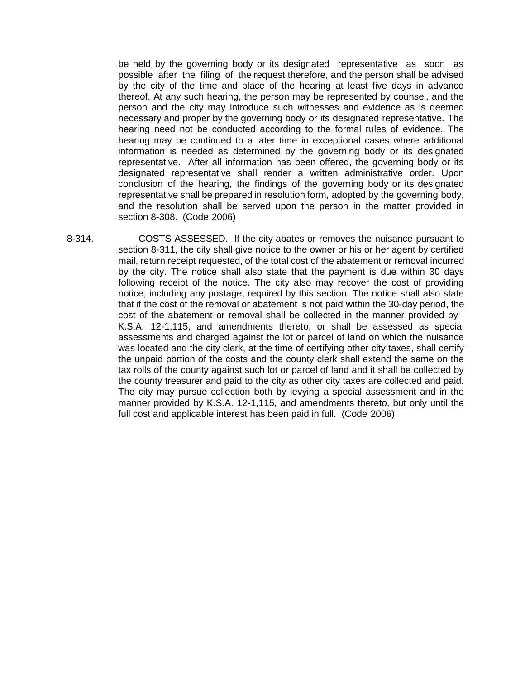be held by the governing body or its designated representative as soon as possible after the filing of the request therefore, and the person shall be advised by the city of the time and place of the hearing at least five days in advance thereof. At any such hearing, the person may be represented by counsel, and the person and the city may introduce such witnesses and evidence as is deemed necessary and proper by the governing body or its designated representative. The hearing need not be conducted according to the formal rules of evidence. The hearing may be continued to a later time in exceptional cases where additional information is needed as determined by the governing body or its designated representative. After all information has been offered, the governing body or its designated representative shall render a written administrative order. Upon conclusion of the hearing, the findings of the governing body or its designated representative shall be prepared in resolution form, adopted by the governing body, and the resolution shall be served upon the person in the matter provided in section 8-308. (Code 2006)

8-314. COSTS ASSESSED. If the city abates or removes the nuisance pursuant to section 8-311, the city shall give notice to the owner or his or her agent by certified mail, return receipt requested, of the total cost of the abatement or removal incurred by the city. The notice shall also state that the payment is due within 30 days following receipt of the notice. The city also may recover the cost of providing notice, including any postage, required by this section. The notice shall also state that if the cost of the removal or abatement is not paid within the 30-day period, the cost of the abatement or removal shall be collected in the manner provided by K.S.A. 12-1,115, and amendments thereto, or shall be assessed as special assessments and charged against the lot or parcel of land on which the nuisance was located and the city clerk, at the time of certifying other city taxes, shall certify the unpaid portion of the costs and the county clerk shall extend the same on the tax rolls of the county against such lot or parcel of land and it shall be collected by the county treasurer and paid to the city as other city taxes are collected and paid. The city may pursue collection both by levying a special assessment and in the manner provided by K.S.A. 12-1,115, and amendments thereto, but only until the full cost and applicable interest has been paid in full. (Code 2006)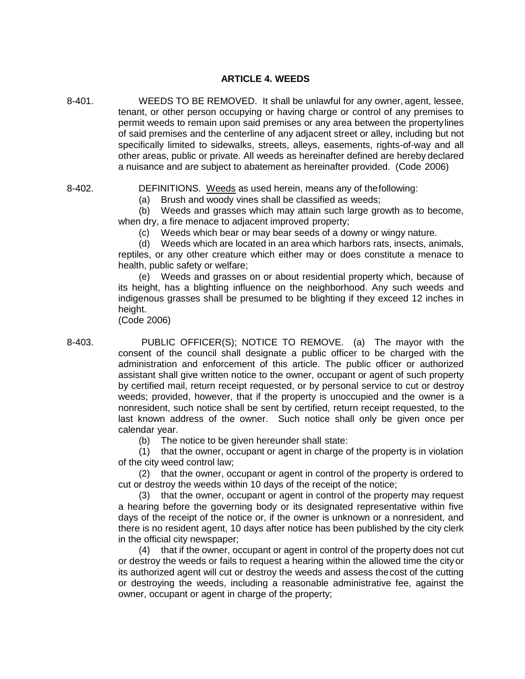## **ARTICLE 4. WEEDS**

- 8-401. WEEDS TO BE REMOVED. It shall be unlawful for any owner, agent, lessee, tenant, or other person occupying or having charge or control of any premises to permit weeds to remain upon said premises or any area between the propertylines of said premises and the centerline of any adjacent street or alley, including but not specifically limited to sidewalks, streets, alleys, easements, rights-of-way and all other areas, public or private. All weeds as hereinafter defined are hereby declared a nuisance and are subject to abatement as hereinafter provided. (Code 2006)
- 

8-402. DEFINITIONS. Weeds as used herein, means any of thefollowing:

(a) Brush and woody vines shall be classified as weeds;

(b) Weeds and grasses which may attain such large growth as to become, when dry, a fire menace to adjacent improved property;

(c) Weeds which bear or may bear seeds of a downy or wingy nature.

(d) Weeds which are located in an area which harbors rats, insects, animals, reptiles, or any other creature which either may or does constitute a menace to health, public safety or welfare;

(e) Weeds and grasses on or about residential property which, because of its height, has a blighting influence on the neighborhood. Any such weeds and indigenous grasses shall be presumed to be blighting if they exceed 12 inches in height.

(Code 2006)

8-403. PUBLIC OFFICER(S); NOTICE TO REMOVE. (a) The mayor with the consent of the council shall designate a public officer to be charged with the administration and enforcement of this article. The public officer or authorized assistant shall give written notice to the owner, occupant or agent of such property by certified mail, return receipt requested, or by personal service to cut or destroy weeds; provided, however, that if the property is unoccupied and the owner is a nonresident, such notice shall be sent by certified, return receipt requested, to the last known address of the owner. Such notice shall only be given once per calendar year.

(b) The notice to be given hereunder shall state:

(1) that the owner, occupant or agent in charge of the property is in violation of the city weed control law;

(2) that the owner, occupant or agent in control of the property is ordered to cut or destroy the weeds within 10 days of the receipt of the notice;

(3) that the owner, occupant or agent in control of the property may request a hearing before the governing body or its designated representative within five days of the receipt of the notice or, if the owner is unknown or a nonresident, and there is no resident agent, 10 days after notice has been published by the city clerk in the official city newspaper;

(4) that if the owner, occupant or agent in control of the property does not cut or destroy the weeds or fails to request a hearing within the allowed time the cityor its authorized agent will cut or destroy the weeds and assess thecost of the cutting or destroying the weeds, including a reasonable administrative fee, against the owner, occupant or agent in charge of the property;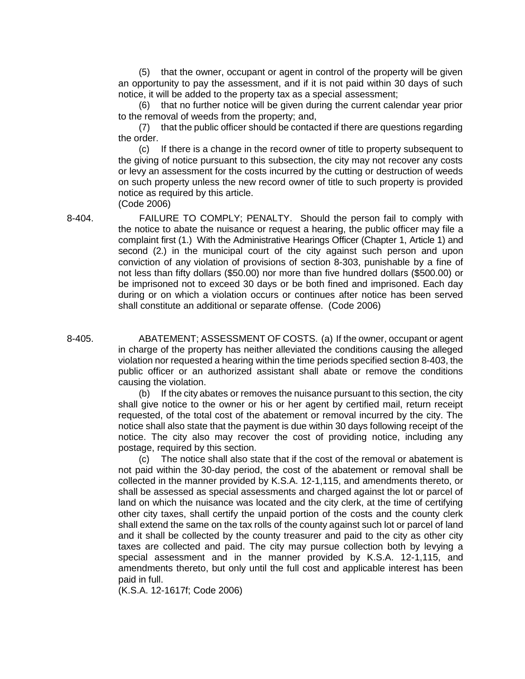(5) that the owner, occupant or agent in control of the property will be given an opportunity to pay the assessment, and if it is not paid within 30 days of such notice, it will be added to the property tax as a special assessment;

that no further notice will be given during the current calendar year prior to the removal of weeds from the property; and,

(7) that the public officer should be contacted if there are questions regarding the order.

(c) If there is a change in the record owner of title to property subsequent to the giving of notice pursuant to this subsection, the city may not recover any costs or levy an assessment for the costs incurred by the cutting or destruction of weeds on such property unless the new record owner of title to such property is provided notice as required by this article. (Code 2006)

8-404. FAILURE TO COMPLY; PENALTY. Should the person fail to comply with the notice to abate the nuisance or request a hearing, the public officer may file a complaint first (1.) With the Administrative Hearings Officer (Chapter 1, Article 1) and second (2.) in the municipal court of the city against such person and upon conviction of any violation of provisions of section 8-303, punishable by a fine of not less than fifty dollars (\$50.00) nor more than five hundred dollars (\$500.00) or be imprisoned not to exceed 30 days or be both fined and imprisoned. Each day during or on which a violation occurs or continues after notice has been served shall constitute an additional or separate offense. (Code 2006)

8-405. ABATEMENT; ASSESSMENT OF COSTS. (a) If the owner, occupant or agent in charge of the property has neither alleviated the conditions causing the alleged violation nor requested a hearing within the time periods specified section 8-403, the public officer or an authorized assistant shall abate or remove the conditions causing the violation.

> (b) If the city abates or removes the nuisance pursuant to this section, the city shall give notice to the owner or his or her agent by certified mail, return receipt requested, of the total cost of the abatement or removal incurred by the city. The notice shall also state that the payment is due within 30 days following receipt of the notice. The city also may recover the cost of providing notice, including any postage, required by this section.

> (c) The notice shall also state that if the cost of the removal or abatement is not paid within the 30-day period, the cost of the abatement or removal shall be collected in the manner provided by K.S.A. 12-1,115, and amendments thereto, or shall be assessed as special assessments and charged against the lot or parcel of land on which the nuisance was located and the city clerk, at the time of certifying other city taxes, shall certify the unpaid portion of the costs and the county clerk shall extend the same on the tax rolls of the county against such lot or parcel of land and it shall be collected by the county treasurer and paid to the city as other city taxes are collected and paid. The city may pursue collection both by levying a special assessment and in the manner provided by K.S.A. 12-1,115, and amendments thereto, but only until the full cost and applicable interest has been paid in full.

(K.S.A. 12-1617f; Code 2006)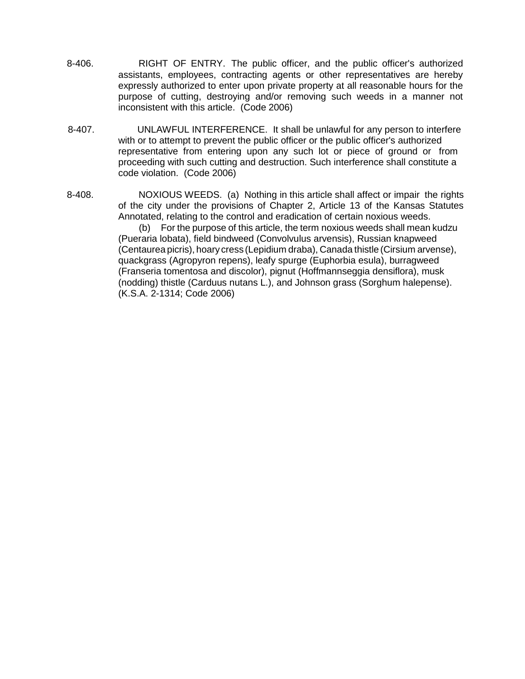- 8-406. RIGHT OF ENTRY. The public officer, and the public officer's authorized assistants, employees, contracting agents or other representatives are hereby expressly authorized to enter upon private property at all reasonable hours for the purpose of cutting, destroying and/or removing such weeds in a manner not inconsistent with this article. (Code 2006)
- 8-407. UNLAWFUL INTERFERENCE. It shall be unlawful for any person to interfere with or to attempt to prevent the public officer or the public officer's authorized representative from entering upon any such lot or piece of ground or from proceeding with such cutting and destruction. Such interference shall constitute a code violation. (Code 2006)
- 8-408. NOXIOUS WEEDS. (a) Nothing in this article shall affect or impair the rights of the city under the provisions of Chapter 2, Article 13 of the Kansas Statutes Annotated, relating to the control and eradication of certain noxious weeds.

(b) For the purpose of this article, the term noxious weeds shall mean kudzu (Pueraria lobata), field bindweed (Convolvulus arvensis), Russian knapweed (Centaurea picris), hoary cress (Lepidium draba), Canada thistle (Cirsium arvense), quackgrass (Agropyron repens), leafy spurge (Euphorbia esula), burragweed (Franseria tomentosa and discolor), pignut (Hoffmannseggia densiflora), musk (nodding) thistle (Carduus nutans L.), and Johnson grass (Sorghum halepense). (K.S.A. 2-1314; Code 2006)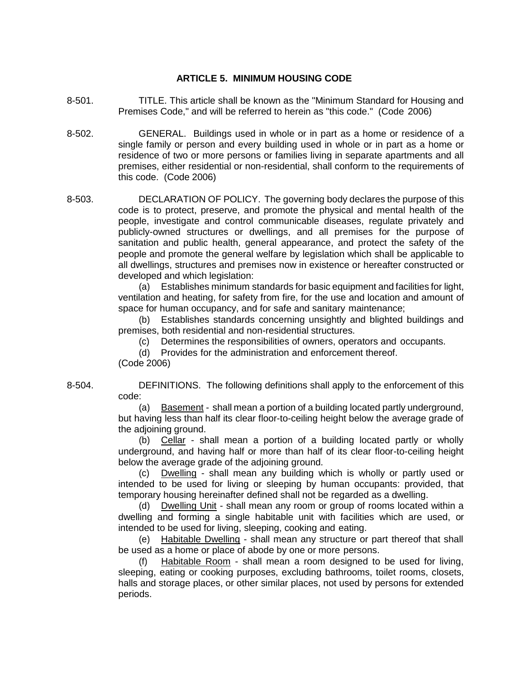## **ARTICLE 5. MINIMUM HOUSING CODE**

- 8-501. TITLE. This article shall be known as the "Minimum Standard for Housing and Premises Code," and will be referred to herein as "this code." (Code 2006)
- 8-502. GENERAL. Buildings used in whole or in part as a home or residence of a single family or person and every building used in whole or in part as a home or residence of two or more persons or families living in separate apartments and all premises, either residential or non-residential, shall conform to the requirements of this code. (Code 2006)
- 8-503. DECLARATION OF POLICY. The governing body declares the purpose of this code is to protect, preserve, and promote the physical and mental health of the people, investigate and control communicable diseases, regulate privately and publicly-owned structures or dwellings, and all premises for the purpose of sanitation and public health, general appearance, and protect the safety of the people and promote the general welfare by legislation which shall be applicable to all dwellings, structures and premises now in existence or hereafter constructed or developed and which legislation:

(a) Establishes minimum standards for basic equipment and facilities for light, ventilation and heating, for safety from fire, for the use and location and amount of space for human occupancy, and for safe and sanitary maintenance;

(b) Establishes standards concerning unsightly and blighted buildings and premises, both residential and non-residential structures.

(c) Determines the responsibilities of owners, operators and occupants.

(d) Provides for the administration and enforcement thereof.

(Code 2006)

8-504. DEFINITIONS. The following definitions shall apply to the enforcement of this code:

> (a) Basement - shall mean a portion of a building located partly underground, but having less than half its clear floor-to-ceiling height below the average grade of the adjoining ground.

> (b) Cellar - shall mean a portion of a building located partly or wholly underground, and having half or more than half of its clear floor-to-ceiling height below the average grade of the adjoining ground.

> (c) Dwelling - shall mean any building which is wholly or partly used or intended to be used for living or sleeping by human occupants: provided, that temporary housing hereinafter defined shall not be regarded as a dwelling.

> (d) Dwelling Unit - shall mean any room or group of rooms located within a dwelling and forming a single habitable unit with facilities which are used, or intended to be used for living, sleeping, cooking and eating.

> (e) Habitable Dwelling - shall mean any structure or part thereof that shall be used as a home or place of abode by one or more persons.

> (f) Habitable Room - shall mean a room designed to be used for living, sleeping, eating or cooking purposes, excluding bathrooms, toilet rooms, closets, halls and storage places, or other similar places, not used by persons for extended periods.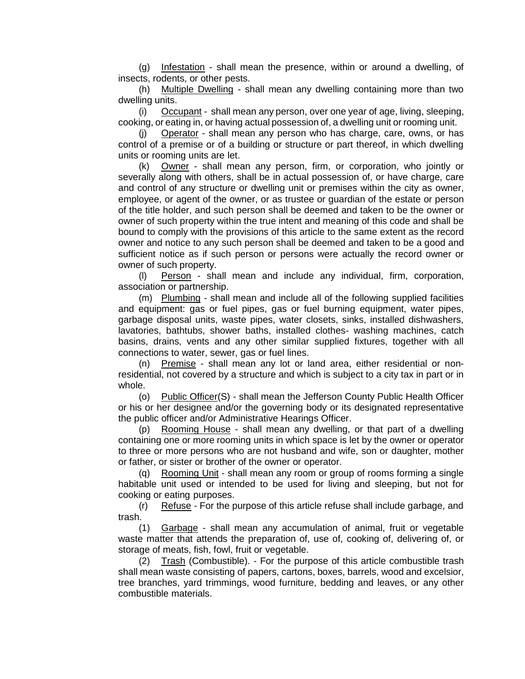(g) Infestation - shall mean the presence, within or around a dwelling, of insects, rodents, or other pests.

(h) Multiple Dwelling - shall mean any dwelling containing more than two dwelling units.

(i) Occupant - shall mean any person, over one year of age, living, sleeping, cooking, or eating in, or having actual possession of, a dwelling unit or rooming unit.

Operator - shall mean any person who has charge, care, owns, or has control of a premise or of a building or structure or part thereof, in which dwelling units or rooming units are let.

(k) Owner - shall mean any person, firm, or corporation, who jointly or severally along with others, shall be in actual possession of, or have charge, care and control of any structure or dwelling unit or premises within the city as owner, employee, or agent of the owner, or as trustee or guardian of the estate or person of the title holder, and such person shall be deemed and taken to be the owner or owner of such property within the true intent and meaning of this code and shall be bound to comply with the provisions of this article to the same extent as the record owner and notice to any such person shall be deemed and taken to be a good and sufficient notice as if such person or persons were actually the record owner or owner of such property.

(l) Person - shall mean and include any individual, firm, corporation, association or partnership.

(m) Plumbing - shall mean and include all of the following supplied facilities and equipment: gas or fuel pipes, gas or fuel burning equipment, water pipes, garbage disposal units, waste pipes, water closets, sinks, installed dishwashers, lavatories, bathtubs, shower baths, installed clothes- washing machines, catch basins, drains, vents and any other similar supplied fixtures, together with all connections to water, sewer, gas or fuel lines.

(n) Premise - shall mean any lot or land area, either residential or nonresidential, not covered by a structure and which is subject to a city tax in part or in whole.

(o) Public Officer(S) - shall mean the Jefferson County Public Health Officer or his or her designee and/or the governing body or its designated representative the public officer and/or Administrative Hearings Officer.

(p) Rooming House - shall mean any dwelling, or that part of a dwelling containing one or more rooming units in which space is let by the owner or operator to three or more persons who are not husband and wife, son or daughter, mother or father, or sister or brother of the owner or operator.

(q) Rooming Unit - shall mean any room or group of rooms forming a single habitable unit used or intended to be used for living and sleeping, but not for cooking or eating purposes.

(r) Refuse - For the purpose of this article refuse shall include garbage, and trash.

(1) Garbage - shall mean any accumulation of animal, fruit or vegetable waste matter that attends the preparation of, use of, cooking of, delivering of, or storage of meats, fish, fowl, fruit or vegetable.

(2) Trash (Combustible). - For the purpose of this article combustible trash shall mean waste consisting of papers, cartons, boxes, barrels, wood and excelsior, tree branches, yard trimmings, wood furniture, bedding and leaves, or any other combustible materials.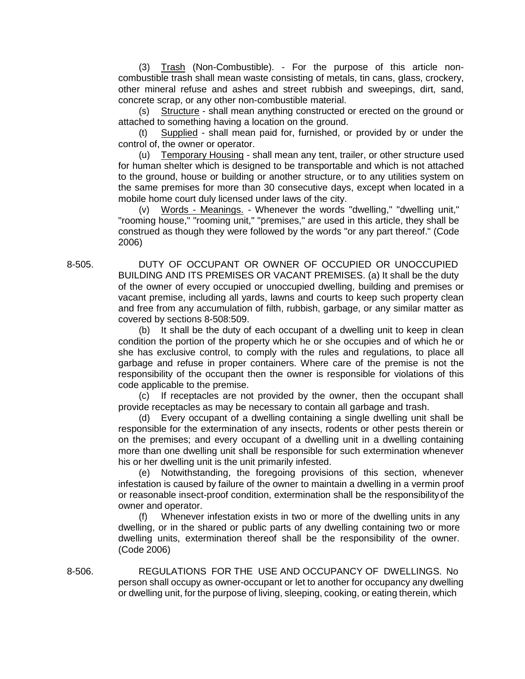(3) Trash (Non-Combustible). - For the purpose of this article noncombustible trash shall mean waste consisting of metals, tin cans, glass, crockery, other mineral refuse and ashes and street rubbish and sweepings, dirt, sand, concrete scrap, or any other non-combustible material.

(s) Structure - shall mean anything constructed or erected on the ground or attached to something having a location on the ground.

(t) Supplied - shall mean paid for, furnished, or provided by or under the control of, the owner or operator.

(u) Temporary Housing - shall mean any tent, trailer, or other structure used for human shelter which is designed to be transportable and which is not attached to the ground, house or building or another structure, or to any utilities system on the same premises for more than 30 consecutive days, except when located in a mobile home court duly licensed under laws of the city.

(v) Words - Meanings. - Whenever the words "dwelling," "dwelling unit," "rooming house," "rooming unit," "premises," are used in this article, they shall be construed as though they were followed by the words "or any part thereof." (Code 2006)

8-505. DUTY OF OCCUPANT OR OWNER OF OCCUPIED OR UNOCCUPIED BUILDING AND ITS PREMISES OR VACANT PREMISES. (a) It shall be the duty of the owner of every occupied or unoccupied dwelling, building and premises or vacant premise, including all yards, lawns and courts to keep such property clean and free from any accumulation of filth, rubbish, garbage, or any similar matter as covered by sections 8-508:509.

> (b) It shall be the duty of each occupant of a dwelling unit to keep in clean condition the portion of the property which he or she occupies and of which he or she has exclusive control, to comply with the rules and regulations, to place all garbage and refuse in proper containers. Where care of the premise is not the responsibility of the occupant then the owner is responsible for violations of this code applicable to the premise.

> (c) If receptacles are not provided by the owner, then the occupant shall provide receptacles as may be necessary to contain all garbage and trash.

> (d) Every occupant of a dwelling containing a single dwelling unit shall be responsible for the extermination of any insects, rodents or other pests therein or on the premises; and every occupant of a dwelling unit in a dwelling containing more than one dwelling unit shall be responsible for such extermination whenever his or her dwelling unit is the unit primarily infested.

> (e) Notwithstanding, the foregoing provisions of this section, whenever infestation is caused by failure of the owner to maintain a dwelling in a vermin proof or reasonable insect-proof condition, extermination shall be the responsibilityof the owner and operator.

> (f) Whenever infestation exists in two or more of the dwelling units in any dwelling, or in the shared or public parts of any dwelling containing two or more dwelling units, extermination thereof shall be the responsibility of the owner. (Code 2006)

8-506. REGULATIONS FOR THE USE AND OCCUPANCY OF DWELLINGS. No person shall occupy as owner-occupant or let to another for occupancy any dwelling or dwelling unit, for the purpose of living, sleeping, cooking, or eating therein, which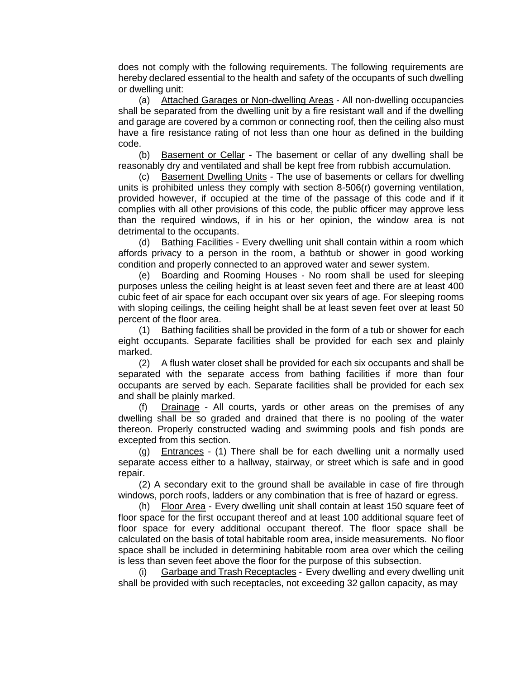does not comply with the following requirements. The following requirements are hereby declared essential to the health and safety of the occupants of such dwelling or dwelling unit:

(a) Attached Garages or Non-dwelling Areas - All non-dwelling occupancies shall be separated from the dwelling unit by a fire resistant wall and if the dwelling and garage are covered by a common or connecting roof, then the ceiling also must have a fire resistance rating of not less than one hour as defined in the building code.

(b) Basement or Cellar - The basement or cellar of any dwelling shall be reasonably dry and ventilated and shall be kept free from rubbish accumulation.

(c) Basement Dwelling Units - The use of basements or cellars for dwelling units is prohibited unless they comply with section 8-506(r) governing ventilation, provided however, if occupied at the time of the passage of this code and if it complies with all other provisions of this code, the public officer may approve less than the required windows, if in his or her opinion, the window area is not detrimental to the occupants.

(d) Bathing Facilities - Every dwelling unit shall contain within a room which affords privacy to a person in the room, a bathtub or shower in good working condition and properly connected to an approved water and sewer system.

(e) Boarding and Rooming Houses - No room shall be used for sleeping purposes unless the ceiling height is at least seven feet and there are at least 400 cubic feet of air space for each occupant over six years of age. For sleeping rooms with sloping ceilings, the ceiling height shall be at least seven feet over at least 50 percent of the floor area.

(1) Bathing facilities shall be provided in the form of a tub or shower for each eight occupants. Separate facilities shall be provided for each sex and plainly marked.

(2) A flush water closet shall be provided for each six occupants and shall be separated with the separate access from bathing facilities if more than four occupants are served by each. Separate facilities shall be provided for each sex and shall be plainly marked.

(f) Drainage - All courts, yards or other areas on the premises of any dwelling shall be so graded and drained that there is no pooling of the water thereon. Properly constructed wading and swimming pools and fish ponds are excepted from this section.

(g) Entrances - (1) There shall be for each dwelling unit a normally used separate access either to a hallway, stairway, or street which is safe and in good repair.

(2) A secondary exit to the ground shall be available in case of fire through windows, porch roofs, ladders or any combination that is free of hazard or egress.

(h) Floor Area - Every dwelling unit shall contain at least 150 square feet of floor space for the first occupant thereof and at least 100 additional square feet of floor space for every additional occupant thereof. The floor space shall be calculated on the basis of total habitable room area, inside measurements. No floor space shall be included in determining habitable room area over which the ceiling is less than seven feet above the floor for the purpose of this subsection.

Garbage and Trash Receptacles - Every dwelling and every dwelling unit shall be provided with such receptacles, not exceeding 32 gallon capacity, as may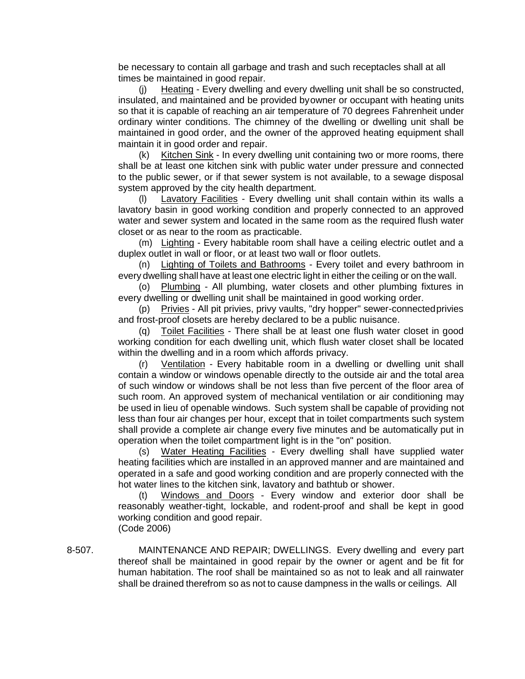be necessary to contain all garbage and trash and such receptacles shall at all times be maintained in good repair.

(j) Heating - Every dwelling and every dwelling unit shall be so constructed, insulated, and maintained and be provided byowner or occupant with heating units so that it is capable of reaching an air temperature of 70 degrees Fahrenheit under ordinary winter conditions. The chimney of the dwelling or dwelling unit shall be maintained in good order, and the owner of the approved heating equipment shall maintain it in good order and repair.

(k) Kitchen Sink - In every dwelling unit containing two or more rooms, there shall be at least one kitchen sink with public water under pressure and connected to the public sewer, or if that sewer system is not available, to a sewage disposal system approved by the city health department.

(l) Lavatory Facilities - Every dwelling unit shall contain within its walls a lavatory basin in good working condition and properly connected to an approved water and sewer system and located in the same room as the required flush water closet or as near to the room as practicable.

(m) Lighting - Every habitable room shall have a ceiling electric outlet and a duplex outlet in wall or floor, or at least two wall or floor outlets.

(n) Lighting of Toilets and Bathrooms - Every toilet and every bathroom in every dwelling shall have at least one electric light in either the ceiling or on the wall.

(o) Plumbing - All plumbing, water closets and other plumbing fixtures in every dwelling or dwelling unit shall be maintained in good working order.

(p) Privies - All pit privies, privy vaults, "dry hopper" sewer-connectedprivies and frost-proof closets are hereby declared to be a public nuisance.

(q) Toilet Facilities - There shall be at least one flush water closet in good working condition for each dwelling unit, which flush water closet shall be located within the dwelling and in a room which affords privacy.

(r) Ventilation - Every habitable room in a dwelling or dwelling unit shall contain a window or windows openable directly to the outside air and the total area of such window or windows shall be not less than five percent of the floor area of such room. An approved system of mechanical ventilation or air conditioning may be used in lieu of openable windows. Such system shall be capable of providing not less than four air changes per hour, except that in toilet compartments such system shall provide a complete air change every five minutes and be automatically put in operation when the toilet compartment light is in the "on" position.

(s) Water Heating Facilities - Every dwelling shall have supplied water heating facilities which are installed in an approved manner and are maintained and operated in a safe and good working condition and are properly connected with the hot water lines to the kitchen sink, lavatory and bathtub or shower.

(t) Windows and Doors - Every window and exterior door shall be reasonably weather-tight, lockable, and rodent-proof and shall be kept in good working condition and good repair. (Code 2006)

8-507. MAINTENANCE AND REPAIR; DWELLINGS. Every dwelling and every part thereof shall be maintained in good repair by the owner or agent and be fit for human habitation. The roof shall be maintained so as not to leak and all rainwater shall be drained therefrom so as not to cause dampness in the walls or ceilings. All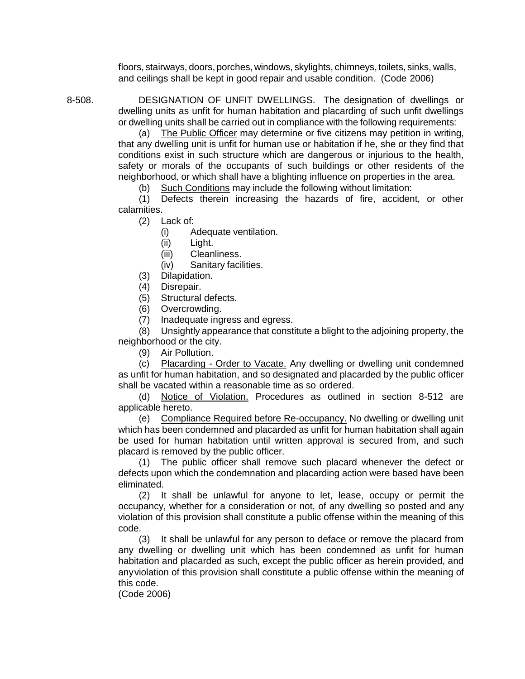floors, stairways, doors, porches, windows, skylights, chimneys, toilets, sinks, walls, and ceilings shall be kept in good repair and usable condition. (Code 2006)

8-508. DESIGNATION OF UNFIT DWELLINGS. The designation of dwellings or dwelling units as unfit for human habitation and placarding of such unfit dwellings or dwelling units shall be carried out in compliance with the following requirements:

(a) The Public Officer may determine or five citizens may petition in writing, that any dwelling unit is unfit for human use or habitation if he, she or they find that conditions exist in such structure which are dangerous or injurious to the health, safety or morals of the occupants of such buildings or other residents of the neighborhood, or which shall have a blighting influence on properties in the area.

(b) Such Conditions may include the following without limitation:

(1) Defects therein increasing the hazards of fire, accident, or other calamities.

(2) Lack of:

(i) Adequate ventilation.

- (ii) Light.
- (iii) Cleanliness.
- (iv) Sanitary facilities.
- (3) Dilapidation.
- (4) Disrepair.
- (5) Structural defects.
- (6) Overcrowding.
- (7) Inadequate ingress and egress.

(8) Unsightly appearance that constitute a blight to the adjoining property, the neighborhood or the city.

(9) Air Pollution.

(c) Placarding - Order to Vacate. Any dwelling or dwelling unit condemned as unfit for human habitation, and so designated and placarded by the public officer shall be vacated within a reasonable time as so ordered.

(d) Notice of Violation. Procedures as outlined in section 8-512 are applicable hereto.

(e) Compliance Required before Re-occupancy. No dwelling or dwelling unit which has been condemned and placarded as unfit for human habitation shall again be used for human habitation until written approval is secured from, and such placard is removed by the public officer.

(1) The public officer shall remove such placard whenever the defect or defects upon which the condemnation and placarding action were based have been eliminated.

(2) It shall be unlawful for anyone to let, lease, occupy or permit the occupancy, whether for a consideration or not, of any dwelling so posted and any violation of this provision shall constitute a public offense within the meaning of this code.

(3) It shall be unlawful for any person to deface or remove the placard from any dwelling or dwelling unit which has been condemned as unfit for human habitation and placarded as such, except the public officer as herein provided, and anyviolation of this provision shall constitute a public offense within the meaning of this code.

(Code 2006)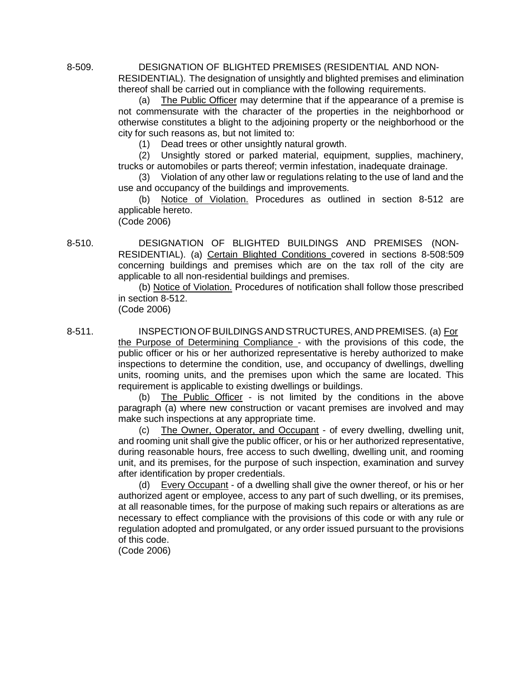8-509. DESIGNATION OF BLIGHTED PREMISES (RESIDENTIAL AND NON-RESIDENTIAL). The designation of unsightly and blighted premises and elimination thereof shall be carried out in compliance with the following requirements.

> (a) The Public Officer may determine that if the appearance of a premise is not commensurate with the character of the properties in the neighborhood or otherwise constitutes a blight to the adjoining property or the neighborhood or the city for such reasons as, but not limited to:

(1) Dead trees or other unsightly natural growth.

(2) Unsightly stored or parked material, equipment, supplies, machinery, trucks or automobiles or parts thereof; vermin infestation, inadequate drainage.

(3) Violation of any other law or regulations relating to the use of land and the use and occupancy of the buildings and improvements.

(b) Notice of Violation. Procedures as outlined in section 8-512 are applicable hereto.

(Code 2006)

8-510. DESIGNATION OF BLIGHTED BUILDINGS AND PREMISES (NON-RESIDENTIAL). (a) Certain Blighted Conditions covered in sections 8-508:509 concerning buildings and premises which are on the tax roll of the city are applicable to all non-residential buildings and premises.

(b) Notice of Violation. Procedures of notification shall follow those prescribed in section 8-512. (Code 2006)

8-511. INSPECTIONOFBUILDINGSANDSTRUCTURES, ANDPREMISES. (a) For the Purpose of Determining Compliance - with the provisions of this code, the public officer or his or her authorized representative is hereby authorized to make inspections to determine the condition, use, and occupancy of dwellings, dwelling units, rooming units, and the premises upon which the same are located. This requirement is applicable to existing dwellings or buildings.

(b) The Public Officer - is not limited by the conditions in the above paragraph (a) where new construction or vacant premises are involved and may make such inspections at any appropriate time.

(c) The Owner, Operator, and Occupant - of every dwelling, dwelling unit, and rooming unit shall give the public officer, or his or her authorized representative, during reasonable hours, free access to such dwelling, dwelling unit, and rooming unit, and its premises, for the purpose of such inspection, examination and survey after identification by proper credentials.

(d) Every Occupant - of a dwelling shall give the owner thereof, or his or her authorized agent or employee, access to any part of such dwelling, or its premises, at all reasonable times, for the purpose of making such repairs or alterations as are necessary to effect compliance with the provisions of this code or with any rule or regulation adopted and promulgated, or any order issued pursuant to the provisions of this code.

(Code 2006)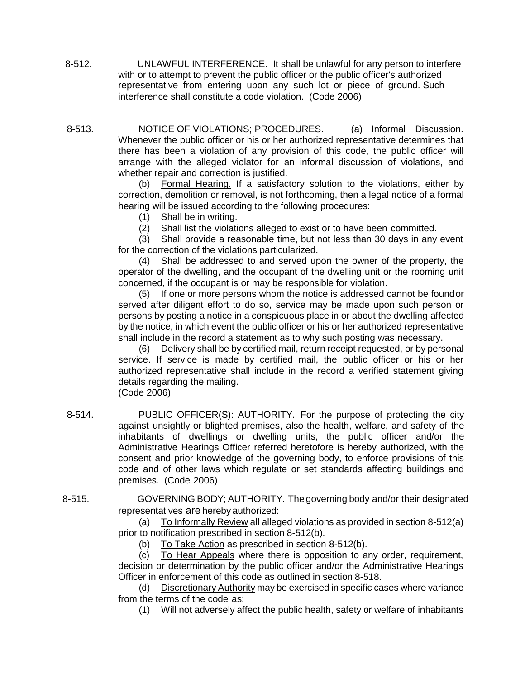- 8-512. UNLAWFUL INTERFERENCE. It shall be unlawful for any person to interfere with or to attempt to prevent the public officer or the public officer's authorized representative from entering upon any such lot or piece of ground. Such interference shall constitute a code violation. (Code 2006)
- 8-513. NOTICE OF VIOLATIONS; PROCEDURES. (a) Informal Discussion. Whenever the public officer or his or her authorized representative determines that there has been a violation of any provision of this code, the public officer will arrange with the alleged violator for an informal discussion of violations, and whether repair and correction is justified.

(b) Formal Hearing. If a satisfactory solution to the violations, either by correction, demolition or removal, is not forthcoming, then a legal notice of a formal hearing will be issued according to the following procedures:

- (1) Shall be in writing.
- (2) Shall list the violations alleged to exist or to have been committed.

(3) Shall provide a reasonable time, but not less than 30 days in any event for the correction of the violations particularized.

(4) Shall be addressed to and served upon the owner of the property, the operator of the dwelling, and the occupant of the dwelling unit or the rooming unit concerned, if the occupant is or may be responsible for violation.

(5) If one or more persons whom the notice is addressed cannot be foundor served after diligent effort to do so, service may be made upon such person or persons by posting a notice in a conspicuous place in or about the dwelling affected by the notice, in which event the public officer or his or her authorized representative shall include in the record a statement as to why such posting was necessary.

(6) Delivery shall be by certified mail, return receipt requested, or by personal service. If service is made by certified mail, the public officer or his or her authorized representative shall include in the record a verified statement giving details regarding the mailing. (Code 2006)

8-514. PUBLIC OFFICER(S): AUTHORITY. For the purpose of protecting the city against unsightly or blighted premises, also the health, welfare, and safety of the inhabitants of dwellings or dwelling units, the public officer and/or the Administrative Hearings Officer referred heretofore is hereby authorized, with the consent and prior knowledge of the governing body, to enforce provisions of this code and of other laws which regulate or set standards affecting buildings and premises. (Code 2006)

8-515. GOVERNING BODY; AUTHORITY. The governing body and/or their designated representatives are hereby authorized:

> (a) To Informally Review all alleged violations as provided in section 8-512(a) prior to notification prescribed in section 8-512(b).

(b) To Take Action as prescribed in section 8-512(b).

(c) To Hear Appeals where there is opposition to any order, requirement, decision or determination by the public officer and/or the Administrative Hearings Officer in enforcement of this code as outlined in section 8-518.

(d) Discretionary Authority may be exercised in specific cases where variance from the terms of the code as:

(1) Will not adversely affect the public health, safety or welfare of inhabitants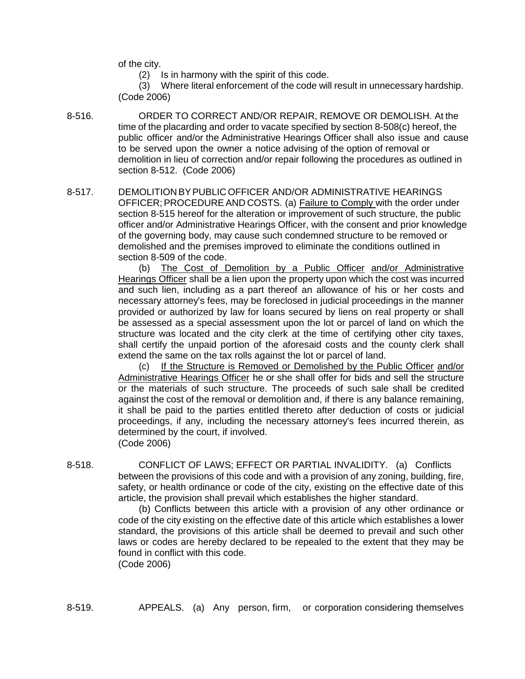of the city.

(2) Is in harmony with the spirit of this code.

(3) Where literal enforcement of the code will result in unnecessary hardship. (Code 2006)

- 8-516. ORDER TO CORRECT AND/OR REPAIR, REMOVE OR DEMOLISH. At the time of the placarding and order to vacate specified by section 8-508(c) hereof, the public officer and/or the Administrative Hearings Officer shall also issue and cause to be served upon the owner a notice advising of the option of removal or demolition in lieu of correction and/or repair following the procedures as outlined in section 8-512. (Code 2006)
- 8-517. DEMOLITION BYPUBLIC OFFICER AND/OR ADMINISTRATIVE HEARINGS OFFICER;PROCEDUREAND COSTS. (a) Failure to Comply with the order under section 8-515 hereof for the alteration or improvement of such structure, the public officer and/or Administrative Hearings Officer, with the consent and prior knowledge of the governing body, may cause such condemned structure to be removed or demolished and the premises improved to eliminate the conditions outlined in section 8-509 of the code.

(b) The Cost of Demolition by a Public Officer and/or Administrative Hearings Officer shall be a lien upon the property upon which the cost was incurred and such lien, including as a part thereof an allowance of his or her costs and necessary attorney's fees, may be foreclosed in judicial proceedings in the manner provided or authorized by law for loans secured by liens on real property or shall be assessed as a special assessment upon the lot or parcel of land on which the structure was located and the city clerk at the time of certifying other city taxes, shall certify the unpaid portion of the aforesaid costs and the county clerk shall extend the same on the tax rolls against the lot or parcel of land.

(c) If the Structure is Removed or Demolished by the Public Officer and/or Administrative Hearings Officer he or she shall offer for bids and sell the structure or the materials of such structure. The proceeds of such sale shall be credited against the cost of the removal or demolition and, if there is any balance remaining, it shall be paid to the parties entitled thereto after deduction of costs or judicial proceedings, if any, including the necessary attorney's fees incurred therein, as determined by the court, if involved.

(Code 2006)

8-518. CONFLICT OF LAWS; EFFECT OR PARTIAL INVALIDITY. (a) Conflicts between the provisions of this code and with a provision of any zoning, building, fire, safety, or health ordinance or code of the city, existing on the effective date of this article, the provision shall prevail which establishes the higher standard.

(b) Conflicts between this article with a provision of any other ordinance or code of the city existing on the effective date of this article which establishes a lower standard, the provisions of this article shall be deemed to prevail and such other laws or codes are hereby declared to be repealed to the extent that they may be found in conflict with this code.

(Code 2006)

8-519. APPEALS. (a) Any person, firm, or corporation considering themselves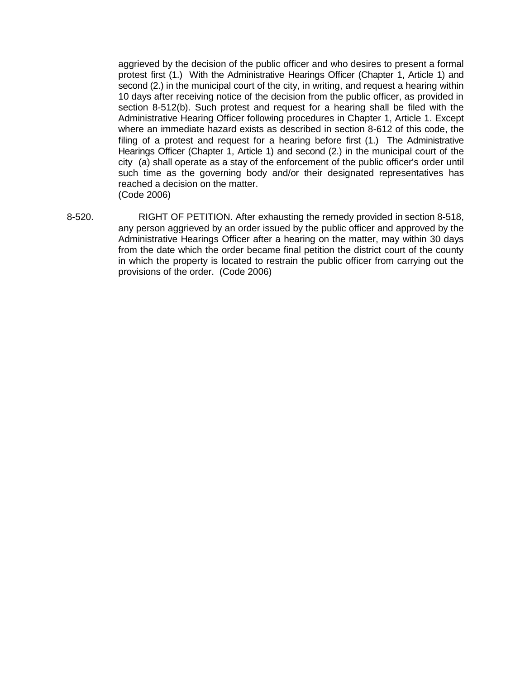aggrieved by the decision of the public officer and who desires to present a formal protest first (1.) With the Administrative Hearings Officer (Chapter 1, Article 1) and second (2.) in the municipal court of the city, in writing, and request a hearing within 10 days after receiving notice of the decision from the public officer, as provided in section 8-512(b). Such protest and request for a hearing shall be filed with the Administrative Hearing Officer following procedures in Chapter 1, Article 1. Except where an immediate hazard exists as described in section 8-612 of this code, the filing of a protest and request for a hearing before first (1.) The Administrative Hearings Officer (Chapter 1, Article 1) and second (2.) in the municipal court of the city (a) shall operate as a stay of the enforcement of the public officer's order until such time as the governing body and/or their designated representatives has reached a decision on the matter. (Code 2006)

8-520. RIGHT OF PETITION. After exhausting the remedy provided in section 8-518, any person aggrieved by an order issued by the public officer and approved by the Administrative Hearings Officer after a hearing on the matter, may within 30 days from the date which the order became final petition the district court of the county in which the property is located to restrain the public officer from carrying out the provisions of the order. (Code 2006)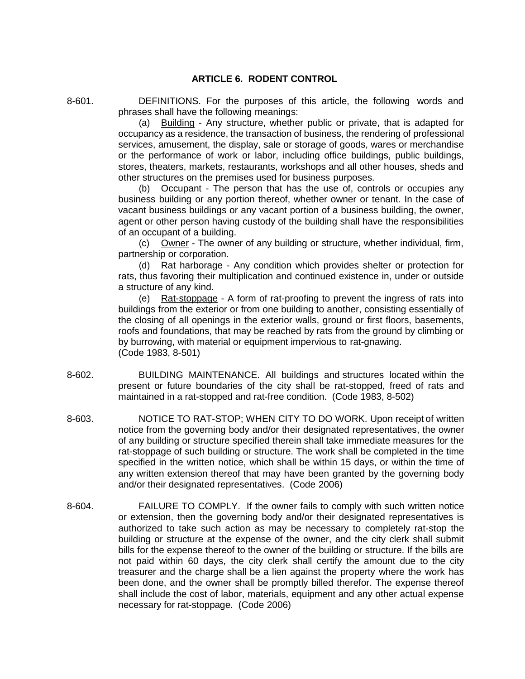## **ARTICLE 6. RODENT CONTROL**

8-601. DEFINITIONS. For the purposes of this article, the following words and phrases shall have the following meanings:

> (a) Building - Any structure, whether public or private, that is adapted for occupancy as a residence, the transaction of business, the rendering of professional services, amusement, the display, sale or storage of goods, wares or merchandise or the performance of work or labor, including office buildings, public buildings, stores, theaters, markets, restaurants, workshops and all other houses, sheds and other structures on the premises used for business purposes.

> (b) Occupant - The person that has the use of, controls or occupies any business building or any portion thereof, whether owner or tenant. In the case of vacant business buildings or any vacant portion of a business building, the owner, agent or other person having custody of the building shall have the responsibilities of an occupant of a building.

> (c) Owner - The owner of any building or structure, whether individual, firm, partnership or corporation.

> (d) Rat harborage - Any condition which provides shelter or protection for rats, thus favoring their multiplication and continued existence in, under or outside a structure of any kind.

> (e) Rat-stoppage - A form of rat-proofing to prevent the ingress of rats into buildings from the exterior or from one building to another, consisting essentially of the closing of all openings in the exterior walls, ground or first floors, basements, roofs and foundations, that may be reached by rats from the ground by climbing or by burrowing, with material or equipment impervious to rat-gnawing. (Code 1983, 8-501)

- 8-602. BUILDING MAINTENANCE. All buildings and structures located within the present or future boundaries of the city shall be rat-stopped, freed of rats and maintained in a rat-stopped and rat-free condition. (Code 1983, 8-502)
- 8-603. NOTICE TO RAT-STOP; WHEN CITY TO DO WORK. Upon receipt of written notice from the governing body and/or their designated representatives, the owner of any building or structure specified therein shall take immediate measures for the rat-stoppage of such building or structure. The work shall be completed in the time specified in the written notice, which shall be within 15 days, or within the time of any written extension thereof that may have been granted by the governing body and/or their designated representatives. (Code 2006)
- 8-604. FAILURE TO COMPLY. If the owner fails to comply with such written notice or extension, then the governing body and/or their designated representatives is authorized to take such action as may be necessary to completely rat-stop the building or structure at the expense of the owner, and the city clerk shall submit bills for the expense thereof to the owner of the building or structure. If the bills are not paid within 60 days, the city clerk shall certify the amount due to the city treasurer and the charge shall be a lien against the property where the work has been done, and the owner shall be promptly billed therefor. The expense thereof shall include the cost of labor, materials, equipment and any other actual expense necessary for rat-stoppage. (Code 2006)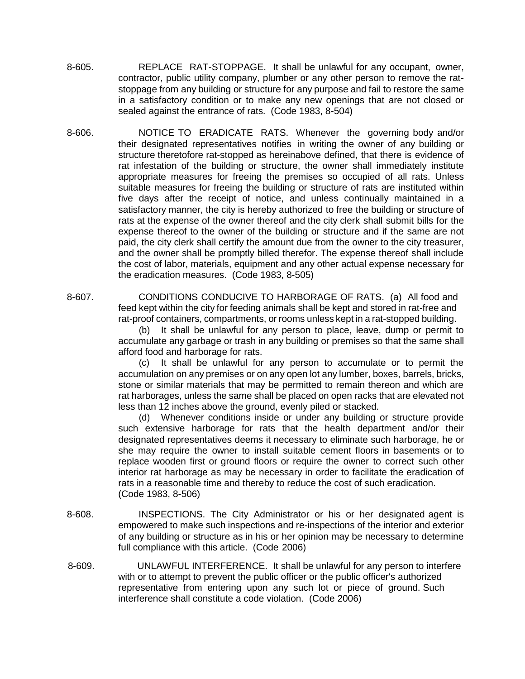- 8-605. REPLACE RAT-STOPPAGE. It shall be unlawful for any occupant, owner, contractor, public utility company, plumber or any other person to remove the ratstoppage from any building or structure for any purpose and fail to restore the same in a satisfactory condition or to make any new openings that are not closed or sealed against the entrance of rats. (Code 1983, 8-504)
- 8-606. NOTICE TO ERADICATE RATS. Whenever the governing body and/or their designated representatives notifies in writing the owner of any building or structure theretofore rat-stopped as hereinabove defined, that there is evidence of rat infestation of the building or structure, the owner shall immediately institute appropriate measures for freeing the premises so occupied of all rats. Unless suitable measures for freeing the building or structure of rats are instituted within five days after the receipt of notice, and unless continually maintained in a satisfactory manner, the city is hereby authorized to free the building or structure of rats at the expense of the owner thereof and the city clerk shall submit bills for the expense thereof to the owner of the building or structure and if the same are not paid, the city clerk shall certify the amount due from the owner to the city treasurer, and the owner shall be promptly billed therefor. The expense thereof shall include the cost of labor, materials, equipment and any other actual expense necessary for the eradication measures. (Code 1983, 8-505)
- 8-607. CONDITIONS CONDUCIVE TO HARBORAGE OF RATS. (a) All food and feed kept within the city for feeding animals shall be kept and stored in rat-free and rat-proof containers, compartments, or rooms unless kept in a rat-stopped building.

(b) It shall be unlawful for any person to place, leave, dump or permit to accumulate any garbage or trash in any building or premises so that the same shall afford food and harborage for rats.

(c) It shall be unlawful for any person to accumulate or to permit the accumulation on any premises or on any open lot any lumber, boxes, barrels, bricks, stone or similar materials that may be permitted to remain thereon and which are rat harborages, unless the same shall be placed on open racks that are elevated not less than 12 inches above the ground, evenly piled or stacked.

(d) Whenever conditions inside or under any building or structure provide such extensive harborage for rats that the health department and/or their designated representatives deems it necessary to eliminate such harborage, he or she may require the owner to install suitable cement floors in basements or to replace wooden first or ground floors or require the owner to correct such other interior rat harborage as may be necessary in order to facilitate the eradication of rats in a reasonable time and thereby to reduce the cost of such eradication. (Code 1983, 8-506)

- 8-608. INSPECTIONS. The City Administrator or his or her designated agent is empowered to make such inspections and re-inspections of the interior and exterior of any building or structure as in his or her opinion may be necessary to determine full compliance with this article. (Code 2006)
- 8-609. UNLAWFUL INTERFERENCE. It shall be unlawful for any person to interfere with or to attempt to prevent the public officer or the public officer's authorized representative from entering upon any such lot or piece of ground. Such interference shall constitute a code violation. (Code 2006)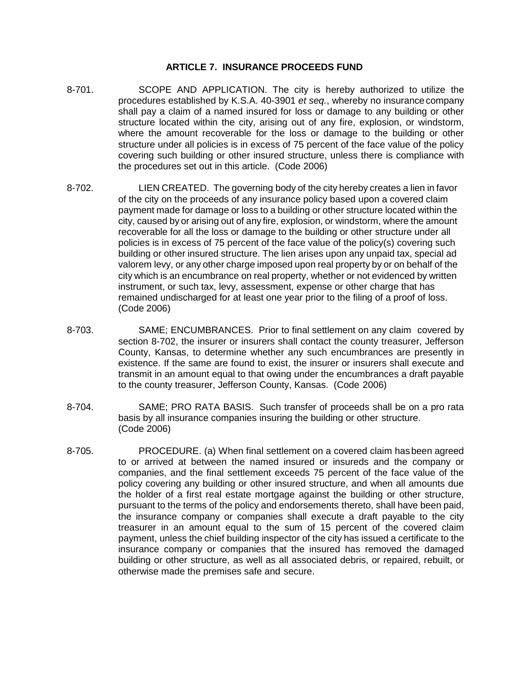## **ARTICLE 7. INSURANCE PROCEEDS FUND**

- 8-701. SCOPE AND APPLICATION. The city is hereby authorized to utilize the procedures established by K.S.A. 40-3901 *et seq.*, whereby no insurancecompany shall pay a claim of a named insured for loss or damage to any building or other structure located within the city, arising out of any fire, explosion, or windstorm, where the amount recoverable for the loss or damage to the building or other structure under all policies is in excess of 75 percent of the face value of the policy covering such building or other insured structure, unless there is compliance with the procedures set out in this article. (Code 2006)
- 8-702. LIEN CREATED. The governing body of the city hereby creates a lien in favor of the city on the proceeds of any insurance policy based upon a covered claim payment made for damage or loss to a building or other structure located within the city, caused by or arising out of any fire, explosion, or windstorm, where the amount recoverable for all the loss or damage to the building or other structure under all policies is in excess of 75 percent of the face value of the policy(s) covering such building or other insured structure. The lien arises upon any unpaid tax, special ad valorem levy, or any other charge imposed upon real property by or on behalf of the city which is an encumbrance on real property, whether or not evidenced by written instrument, or such tax, levy, assessment, expense or other charge that has remained undischarged for at least one year prior to the filing of a proof of loss. (Code 2006)
- 8-703. SAME; ENCUMBRANCES. Prior to final settlement on any claim covered by section 8-702, the insurer or insurers shall contact the county treasurer, Jefferson County, Kansas, to determine whether any such encumbrances are presently in existence. If the same are found to exist, the insurer or insurers shall execute and transmit in an amount equal to that owing under the encumbrances a draft payable to the county treasurer, Jefferson County, Kansas. (Code 2006)
- 8-704. SAME; PRO RATA BASIS. Such transfer of proceeds shall be on a pro rata basis by all insurance companies insuring the building or other structure. (Code 2006)
- 8-705. PROCEDURE. (a) When final settlement on a covered claim hasbeen agreed to or arrived at between the named insured or insureds and the company or companies, and the final settlement exceeds 75 percent of the face value of the policy covering any building or other insured structure, and when all amounts due the holder of a first real estate mortgage against the building or other structure, pursuant to the terms of the policy and endorsements thereto, shall have been paid, the insurance company or companies shall execute a draft payable to the city treasurer in an amount equal to the sum of 15 percent of the covered claim payment, unless the chief building inspector of the city has issued a certificate to the insurance company or companies that the insured has removed the damaged building or other structure, as well as all associated debris, or repaired, rebuilt, or otherwise made the premises safe and secure.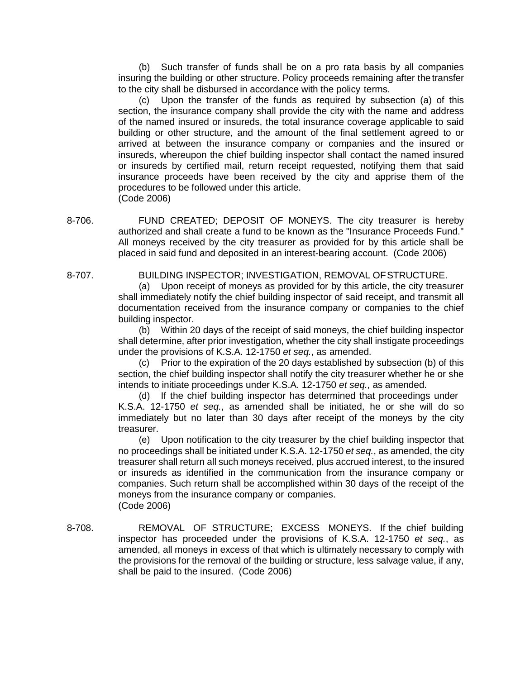(b) Such transfer of funds shall be on a pro rata basis by all companies insuring the building or other structure. Policy proceeds remaining after the transfer to the city shall be disbursed in accordance with the policy terms.

(c) Upon the transfer of the funds as required by subsection (a) of this section, the insurance company shall provide the city with the name and address of the named insured or insureds, the total insurance coverage applicable to said building or other structure, and the amount of the final settlement agreed to or arrived at between the insurance company or companies and the insured or insureds, whereupon the chief building inspector shall contact the named insured or insureds by certified mail, return receipt requested, notifying them that said insurance proceeds have been received by the city and apprise them of the procedures to be followed under this article. (Code 2006)

- 8-706. FUND CREATED; DEPOSIT OF MONEYS. The city treasurer is hereby authorized and shall create a fund to be known as the "Insurance Proceeds Fund." All moneys received by the city treasurer as provided for by this article shall be placed in said fund and deposited in an interest-bearing account. (Code 2006)
- 8-707. BUILDING INSPECTOR; INVESTIGATION, REMOVAL OFSTRUCTURE.

(a) Upon receipt of moneys as provided for by this article, the city treasurer shall immediately notify the chief building inspector of said receipt, and transmit all documentation received from the insurance company or companies to the chief building inspector.

(b) Within 20 days of the receipt of said moneys, the chief building inspector shall determine, after prior investigation, whether the city shall instigate proceedings under the provisions of K.S.A. 12-1750 *et seq.*, as amended.

(c) Prior to the expiration of the 20 days established by subsection (b) of this section, the chief building inspector shall notify the city treasurer whether he or she intends to initiate proceedings under K.S.A. 12-1750 *et seq.*, as amended.

(d) If the chief building inspector has determined that proceedings under K.S.A. 12-1750 *et seq.*, as amended shall be initiated, he or she will do so immediately but no later than 30 days after receipt of the moneys by the city treasurer.

(e) Upon notification to the city treasurer by the chief building inspector that no proceedings shall be initiated under K.S.A. 12-1750 *et seq.*, as amended, the city treasurer shall return all such moneys received, plus accrued interest, to the insured or insureds as identified in the communication from the insurance company or companies. Such return shall be accomplished within 30 days of the receipt of the moneys from the insurance company or companies. (Code 2006)

8-708. REMOVAL OF STRUCTURE; EXCESS MONEYS. If the chief building inspector has proceeded under the provisions of K.S.A. 12-1750 *et seq.*, as amended, all moneys in excess of that which is ultimately necessary to comply with the provisions for the removal of the building or structure, less salvage value, if any, shall be paid to the insured. (Code 2006)